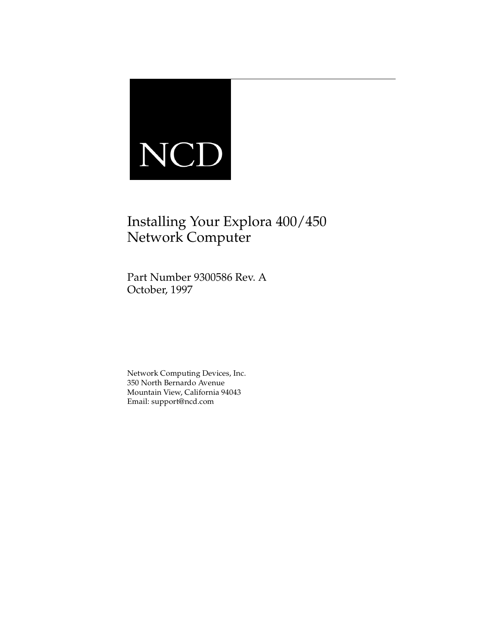# NCD

# Installing Your Explora 400/450 Network Computer

Part Number 9300586 Rev. A October, 1997

Network Computing Devices, Inc. 350 North Bernardo Avenue Mountain View, California 94043 Email: support@ncd.com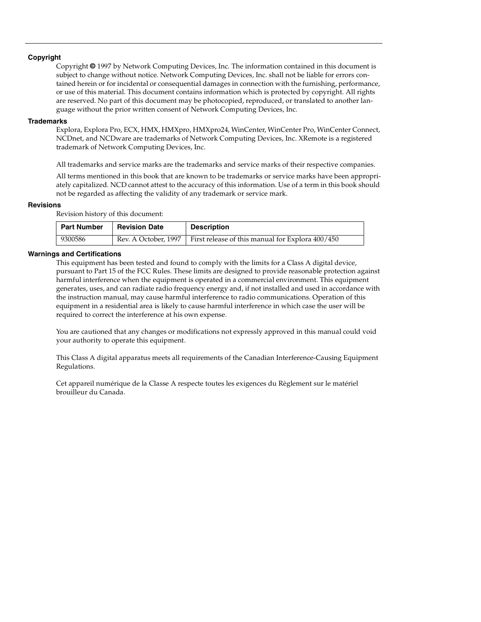#### **Copyright**

Copyright **©** 1997 by Network Computing Devices, Inc. The information contained in this document is subject to change without notice. Network Computing Devices, Inc. shall not be liable for errors contained herein or for incidental or consequential damages in connection with the furnishing, performance, or use of this material. This document contains information which is protected by copyright. All rights are reserved. No part of this document may be photocopied, reproduced, or translated to another language without the prior written consent of Network Computing Devices, Inc.

#### **Trademarks**

Explora, Explora Pro, ECX, HMX, HMXpro, HMXpro24, WinCenter, WinCenter Pro, WinCenter Connect, NCDnet, and NCDware are trademarks of Network Computing Devices, Inc. XRemote is a registered trademark of Network Computing Devices, Inc.

All trademarks and service marks are the trademarks and service marks of their respective companies.

All terms mentioned in this book that are known to be trademarks or service marks have been appropriately capitalized. NCD cannot attest to the accuracy of this information. Use of a term in this book should not be regarded as affecting the validity of any trademark or service mark.

#### **Revisions**

Revision history of this document:

| <b>Part Number</b> | <b>Revision Date</b> | <b>Description</b>                               |
|--------------------|----------------------|--------------------------------------------------|
| 9300586            | Rev. A October, 1997 | First release of this manual for Explora 400/450 |

#### **Warnings and Certifications**

This equipment has been tested and found to comply with the limits for a Class A digital device, pursuant to Part 15 of the FCC Rules. These limits are designed to provide reasonable protection against harmful interference when the equipment is operated in a commercial environment. This equipment generates, uses, and can radiate radio frequency energy and, if not installed and used in accordance with the instruction manual, may cause harmful interference to radio communications. Operation of this equipment in a residential area is likely to cause harmful interference in which case the user will be required to correct the interference at his own expense.

You are cautioned that any changes or modifications not expressly approved in this manual could void your authority to operate this equipment.

This Class A digital apparatus meets all requirements of the Canadian Interference-Causing Equipment Regulations.

Cet appareil numérique de la Classe A respecte toutes les exigences du Règlement sur le matériel brouilleur du Canada.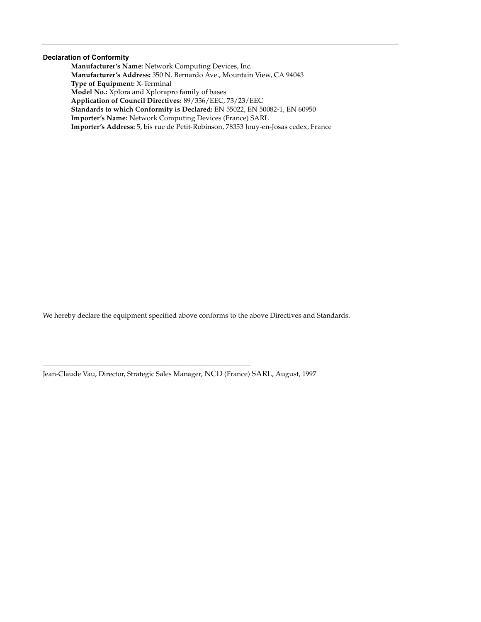#### **Declaration of Conformity**

**Manufacturer's Name:** Network Computing Devices, Inc. **Manufacturer's Address:** 350 N. Bernardo Ave., Mountain View, CA 94043 **Type of Equipment:** X-Terminal **Model No.:** Xplora and Xplorapro family of bases **Application of Council Directives:** 89/336/EEC, 73/23/EEC **Standards to which Conformity is Declared:** EN 55022, EN 50082-1, EN 60950 **Importer's Name:** Network Computing Devices (France) SARL **Importer's Address:** 5, bis rue de Petit-Robinson, 78353 Jouy-en-Josas cedex, France

We hereby declare the equipment specified above conforms to the above Directives and Standards.

Jean-Claude Vau, Director, Strategic Sales Manager, NCD (France) SARL, August, 1997

\_\_\_\_\_\_\_\_\_\_\_\_\_\_\_\_\_\_\_\_\_\_\_\_\_\_\_\_\_\_\_\_\_\_\_\_\_\_\_\_\_\_\_\_\_\_\_\_\_\_\_\_\_\_\_\_\_\_\_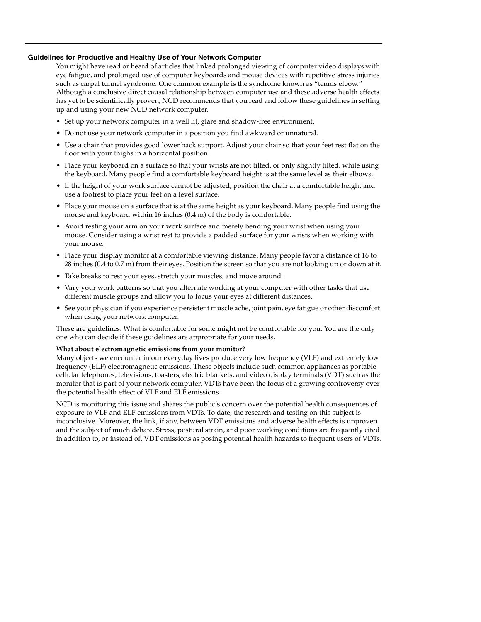#### **Guidelines for Productive and Healthy Use of Your Network Computer**

You might have read or heard of articles that linked prolonged viewing of computer video displays with eye fatigue, and prolonged use of computer keyboards and mouse devices with repetitive stress injuries such as carpal tunnel syndrome. One common example is the syndrome known as "tennis elbow." Although a conclusive direct causal relationship between computer use and these adverse health effects has yet to be scientifically proven, NCD recommends that you read and follow these guidelines in setting up and using your new NCD network computer.

- Set up your network computer in a well lit, glare and shadow-free environment.
- Do not use your network computer in a position you find awkward or unnatural.
- Use a chair that provides good lower back support. Adjust your chair so that your feet rest flat on the floor with your thighs in a horizontal position.
- Place your keyboard on a surface so that your wrists are not tilted, or only slightly tilted, while using the keyboard. Many people find a comfortable keyboard height is at the same level as their elbows.
- If the height of your work surface cannot be adjusted, position the chair at a comfortable height and use a footrest to place your feet on a level surface.
- Place your mouse on a surface that is at the same height as your keyboard. Many people find using the mouse and keyboard within 16 inches (0.4 m) of the body is comfortable.
- Avoid resting your arm on your work surface and merely bending your wrist when using your mouse. Consider using a wrist rest to provide a padded surface for your wrists when working with your mouse.
- Place your display monitor at a comfortable viewing distance. Many people favor a distance of 16 to 28 inches (0.4 to 0.7 m) from their eyes. Position the screen so that you are not looking up or down at it.
- Take breaks to rest your eyes, stretch your muscles, and move around.
- Vary your work patterns so that you alternate working at your computer with other tasks that use different muscle groups and allow you to focus your eyes at different distances.
- See your physician if you experience persistent muscle ache, joint pain, eye fatigue or other discomfort when using your network computer.

These are guidelines. What is comfortable for some might not be comfortable for you. You are the only one who can decide if these guidelines are appropriate for your needs.

#### **What about electromagnetic emissions from your monitor?**

Many objects we encounter in our everyday lives produce very low frequency (VLF) and extremely low frequency (ELF) electromagnetic emissions. These objects include such common appliances as portable cellular telephones, televisions, toasters, electric blankets, and video display terminals (VDT) such as the monitor that is part of your network computer. VDTs have been the focus of a growing controversy over the potential health effect of VLF and ELF emissions.

NCD is monitoring this issue and shares the public's concern over the potential health consequences of exposure to VLF and ELF emissions from VDTs. To date, the research and testing on this subject is inconclusive. Moreover, the link, if any, between VDT emissions and adverse health effects is unproven and the subject of much debate. Stress, postural strain, and poor working conditions are frequently cited in addition to, or instead of, VDT emissions as posing potential health hazards to frequent users of VDTs.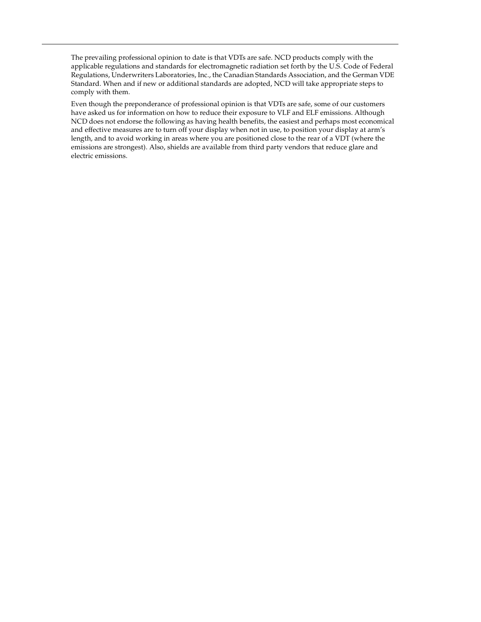The prevailing professional opinion to date is that VDTs are safe. NCD products comply with the applicable regulations and standards for electromagnetic radiation set forth by the U.S. Code of Federal Regulations, Underwriters Laboratories, Inc., the Canadian Standards Association, and the German VDE Standard. When and if new or additional standards are adopted, NCD will take appropriate steps to comply with them.

Even though the preponderance of professional opinion is that VDTs are safe, some of our customers have asked us for information on how to reduce their exposure to VLF and ELF emissions. Although NCD does not endorse the following as having health benefits, the easiest and perhaps most economical and effective measures are to turn off your display when not in use, to position your display at arm's length, and to avoid working in areas where you are positioned close to the rear of a VDT (where the emissions are strongest). Also, shields are available from third party vendors that reduce glare and electric emissions.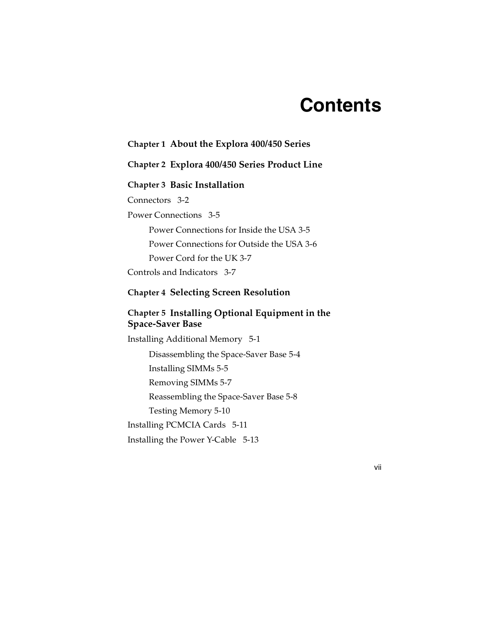# **Contents**

#### **[Chapter 1 A](#page-8-0)bout the Explora 400/450 Series**

#### **[Chapter 2 E](#page-12-0)xplora 400/450 Series Product Line**

#### **[Chapter 3 B](#page-14-0)asic Installation**

[Connectors 3-2](#page-15-0)

[Power Connections 3-5](#page-18-0)

[Power Connections for Inside the USA 3-5](#page-18-1) [Power Connections for Outside the USA 3-6](#page-19-0) [Power Cord for the UK 3-7](#page-20-0)

[Controls and Indicators 3-7](#page-20-1)

#### **[Chapter 4 S](#page-22-0)electing Screen Resolution**

## **[Chapter 5 I](#page-26-0)nstalling Optional Equipment in the Space-Saver Base**

[Installing Additional Memory 5-1](#page-26-1) [Disassembling the Space-Saver Base 5-4](#page-29-0) [Installing SIMMs 5-5](#page-30-0) [Removing SIMMs 5-7](#page-32-0) [Reassembling the Space-Saver Base 5-8](#page-33-0) [Testing Memory 5-10](#page-35-0) [Installing PCMCIA Cards 5-11](#page-36-0) [Installing the Power Y-Cable 5-13](#page-38-0)

vii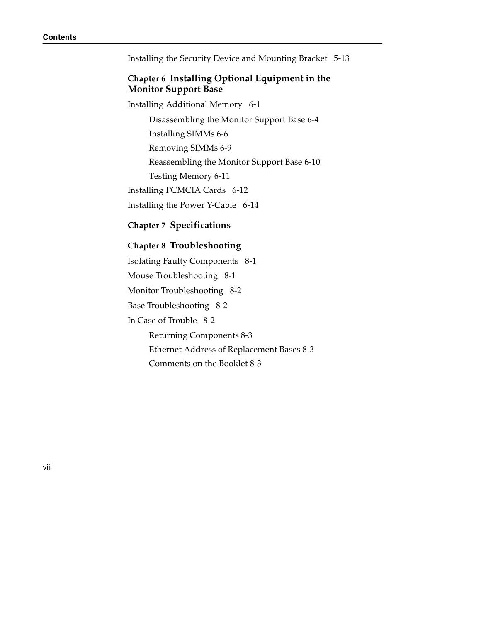[Installing the Security Device and Mounting Bracket 5-13](#page-38-1)

## **[Chapter 6 I](#page-40-0)nstalling Optional Equipment in the Monitor Support Base**

[Installing Additional Memory 6-1](#page-40-1)

[Disassembling the Monitor Support Base 6-4](#page-43-0)

[Installing SIMMs 6-6](#page-45-0)

[Removing SIMMs 6-9](#page-48-0)

[Reassembling the Monitor Support Base 6-10](#page-49-0)

[Testing Memory 6-11](#page-50-0)

[Installing PCMCIA Cards 6-12](#page-51-0)

[Installing the Power Y-Cable 6-14](#page-53-0)

#### **[Chapter 7 S](#page-54-0)pecifications**

#### **[Chapter 8 T](#page-58-0)roubleshooting**

[Isolating Faulty Components 8-1](#page-58-1) [Mouse Troubleshooting 8-1](#page-58-2) [Monitor Troubleshooting 8-2](#page-59-0) [Base Troubleshooting 8-2](#page-59-1) [In Case of Trouble 8-2](#page-59-2) [Returning Components 8-3](#page-60-0) [Ethernet Address of Replacement Bases 8-3](#page-60-1) [Comments on the Booklet 8-3](#page-60-2)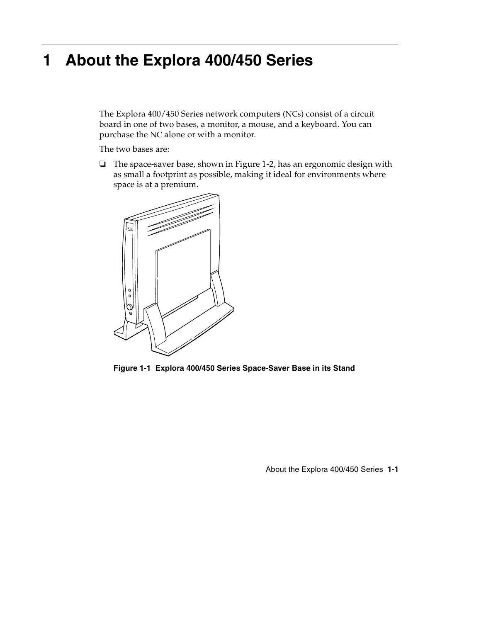# <span id="page-8-0"></span>**1 About the Explora 400/450 Series**

The Explora 400/450 Series network computers (NCs) consist of a circuit board in one of two bases, a monitor, a mouse, and a keyboard. You can purchase the NC alone or with a monitor.

The two bases are:

❏ The space-saver base, shown in [Figure 1-2,](#page-9-0) has an ergonomic design with as small a footprint as possible, making it ideal for environments where space is at a premium.



**Figure 1-1 Explora 400/450 Series Space-Saver Base in its Stand**

About the Explora 400/450 Series **1-1**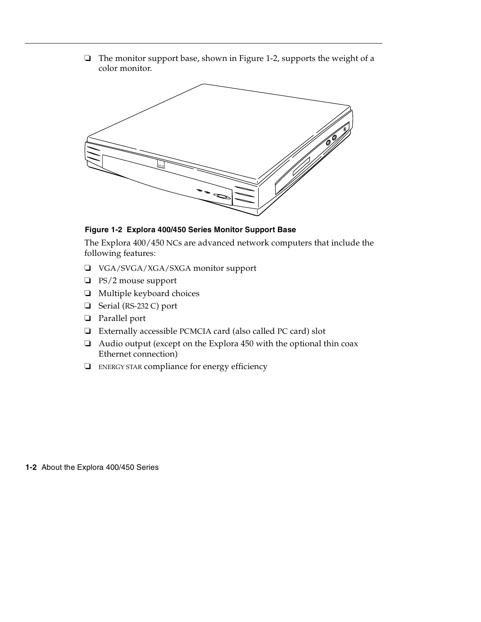❏ The monitor support base, shown in [Figure 1-2](#page-9-0), supports the weight of a color monitor.



#### <span id="page-9-0"></span>**Figure 1-2 Explora 400/450 Series Monitor Support Base**

The Explora 400/450 NCs are advanced network computers that include the following features:

- ❏ VGA/SVGA/XGA/SXGA monitor support
- ❏ PS/2 mouse support
- ❏ Multiple keyboard choices
- ❏ Serial (RS-232 C) port
- ❏ Parallel port
- ❏ Externally accessible PCMCIA card (also called PC card) slot
- ❏ Audio output (except on the Explora 450 with the optional thin coax Ethernet connection)
- ❏ ENERGY STAR compliance for energy efficiency

#### **1-2** About the Explora 400/450 Series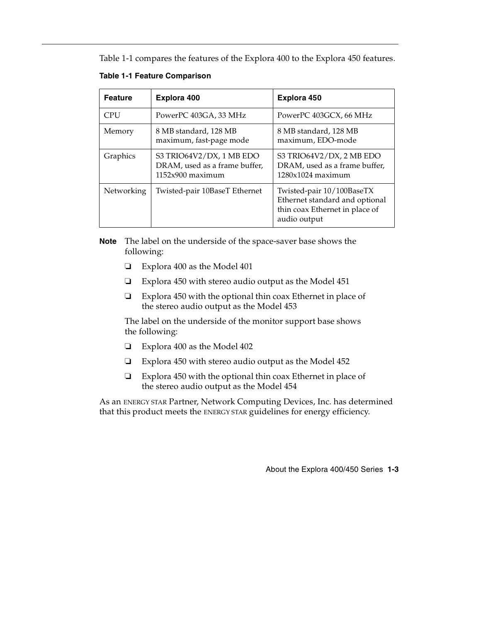[Table 1-1](#page-10-0) compares the features of the Explora 400 to the Explora 450 features.

| <b>Feature</b> | Explora 400                                                                     | <b>Explora 450</b>                                                                                            |
|----------------|---------------------------------------------------------------------------------|---------------------------------------------------------------------------------------------------------------|
| <b>CPU</b>     | PowerPC 403GA, 33 MHz                                                           | PowerPC 403GCX, 66 MHz                                                                                        |
| Memory         | 8 MB standard, 128 MB<br>maximum, fast-page mode                                | 8 MB standard, 128 MB<br>maximum, EDO-mode                                                                    |
| Graphics       | S3 TRIO64V2/DX, 1 MB EDO<br>DRAM, used as a frame buffer,<br>$1152x900$ maximum | S3 TRIO64V2/DX, 2 MB EDO<br>DRAM, used as a frame buffer,<br>$1280x1024$ maximum                              |
| Networking     | Twisted-pair 10BaseT Ethernet                                                   | Twisted-pair 10/100BaseTX<br>Ethernet standard and optional<br>thin coax Ethernet in place of<br>audio output |

<span id="page-10-0"></span>**Table 1-1 Feature Comparison** 

- **Note** The label on the underside of the space-saver base shows the following:
	- ❏ Explora 400 as the Model 401
	- ❏ Explora 450 with stereo audio output as the Model 451
	- ❏ Explora 450 with the optional thin coax Ethernet in place of the stereo audio output as the Model 453

The label on the underside of the monitor support base shows the following:

- ❏ Explora 400 as the Model 402
- ❏ Explora 450 with stereo audio output as the Model 452
- ❏ Explora 450 with the optional thin coax Ethernet in place of the stereo audio output as the Model 454

As an ENERGY STAR Partner, Network Computing Devices, Inc. has determined that this product meets the ENERGY STAR guidelines for energy efficiency.

About the Explora 400/450 Series **1-3**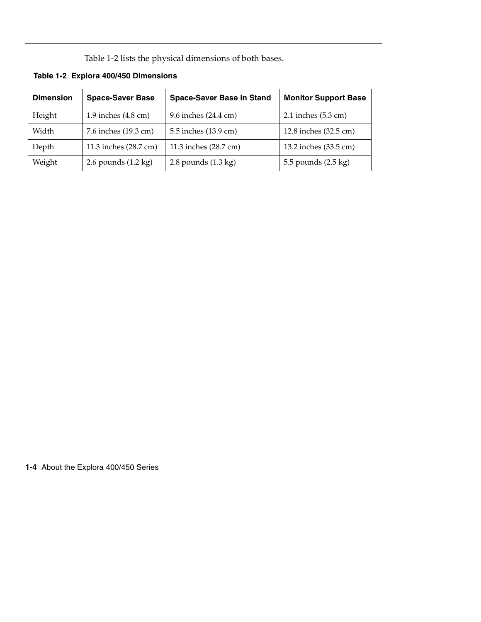[Table 1-2](#page-11-0) lists the physical dimensions of both bases.

<span id="page-11-0"></span>

| Table 1-2 Explora 400/450 Dimensions |  |
|--------------------------------------|--|
|                                      |  |

| <b>Dimension</b> | <b>Space-Saver Base</b>       | <b>Space-Saver Base in Stand</b> | <b>Monitor Support Base</b>   |
|------------------|-------------------------------|----------------------------------|-------------------------------|
| Height           | 1.9 inches $(4.8 \text{ cm})$ | 9.6 inches (24.4 cm)             | 2.1 inches $(5.3 \text{ cm})$ |
| Width            | 7.6 inches (19.3 cm)          | 5.5 inches (13.9 cm)             | 12.8 inches (32.5 cm)         |
| Depth            | 11.3 inches (28.7 cm)         | 11.3 inches (28.7 cm)            | 13.2 inches (33.5 cm)         |
| Weight           | 2.6 pounds $(1.2 \text{ kg})$ | 2.8 pounds $(1.3 \text{ kg})$    | 5.5 pounds (2.5 kg)           |

**1-4** About the Explora 400/450 Series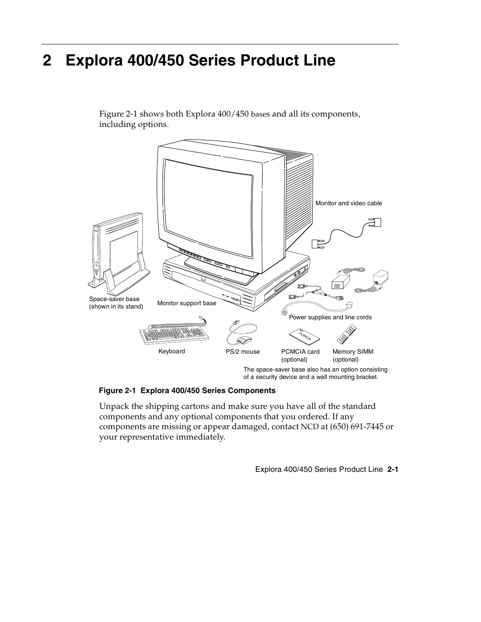# <span id="page-12-0"></span>**2 Explora 400/450 Series Product Line**

[Figure 2-1](#page-12-1) shows both Explora 400/450 bases and all its components, including options.



#### <span id="page-12-1"></span>**Figure 2-1 Explora 400/450 Series Components**

Unpack the shipping cartons and make sure you have all of the standard components and any optional components that you ordered. If any components are missing or appear damaged, contact NCD at (650) 691-7445 or your representative immediately.

Explora 400/450 Series Product Line **2-1**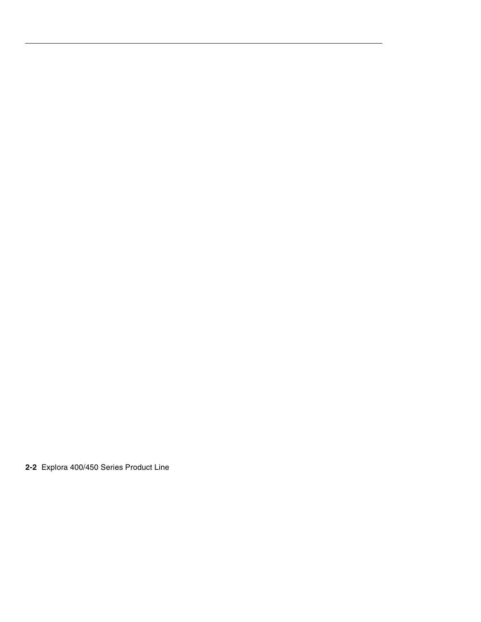**2-2** Explora 400/450 Series Product Line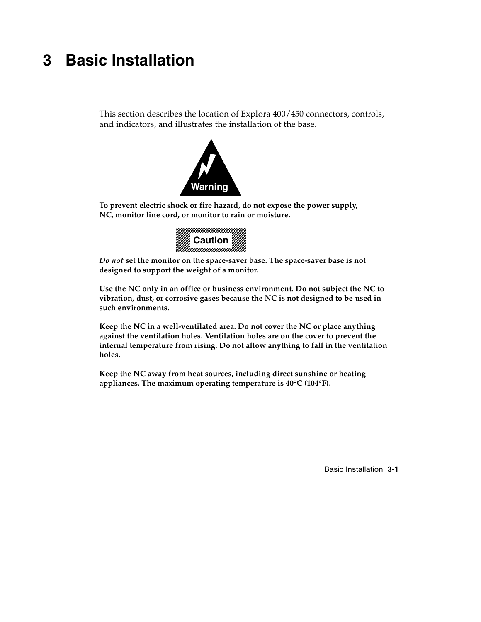# <span id="page-14-1"></span><span id="page-14-0"></span>**3 Basic Installation**

This section describes the location of Explora 400/450 connectors, controls, and indicators, and illustrates the installation of the base.



**To prevent electric shock or fire hazard, do not expose the power supply, NC, monitor line cord, or monitor to rain or moisture.**



*Do not* **set the monitor on the space-saver base. The space-saver base is not designed to support the weight of a monitor.**

**Use the NC only in an office or business environment. Do not subject the NC to vibration, dust, or corrosive gases because the NC is not designed to be used in such environments.**

**Keep the NC in a well-ventilated area. Do not cover the NC or place anything against the ventilation holes. Ventilation holes are on the cover to prevent the internal temperature from rising. Do not allow anything to fall in the ventilation holes.** 

**Keep the NC away from heat sources, including direct sunshine or heating appliances. The maximum operating temperature is 40°C (104°F).**

Basic Installation **3-1**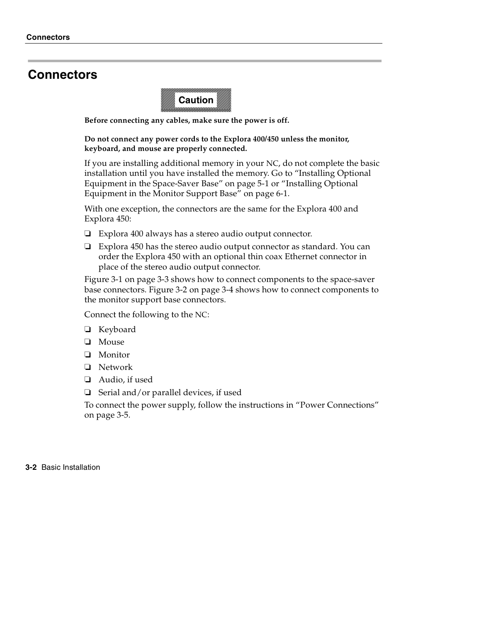# <span id="page-15-0"></span>**Connectors**



**Before connecting any cables, make sure the power is off.**

**Do not connect any power cords to the Explora 400/450 unless the monitor, keyboard, and mouse are properly connected.** 

If you are installing additional memory in your NC, do not complete the basic installation until you have installed the memory. Go to ["Installing Optional](#page-26-2)  [Equipment in the Space-Saver Base" on page 5-1](#page-26-2) or ["Installing Optional](#page-40-2)  [Equipment in the Monitor Support Base" on page 6-1](#page-40-2).

With one exception, the connectors are the same for the Explora 400 and Explora 450:

- ❏ Explora 400 always has a stereo audio output connector.
- ❏ Explora 450 has the stereo audio output connector as standard. You can order the Explora 450 with an optional thin coax Ethernet connector in place of the stereo audio output connector.

[Figure 3-1 on page 3-3](#page-16-0) shows how to connect components to the space-saver base connectors. [Figure 3-2 on page 3-4](#page-17-0) shows how to connect components to the monitor support base connectors.

Connect the following to the NC:

- ❏ Keyboard
- ❏ Mouse
- ❏ Monitor
- ❏ Network
- ❏ Audio, if used
- ❏ Serial and/or parallel devices, if used

To connect the power supply, follow the instructions in ["Power Connections"](#page-18-0) [on page 3-5](#page-18-0).

**3-2** Basic Installation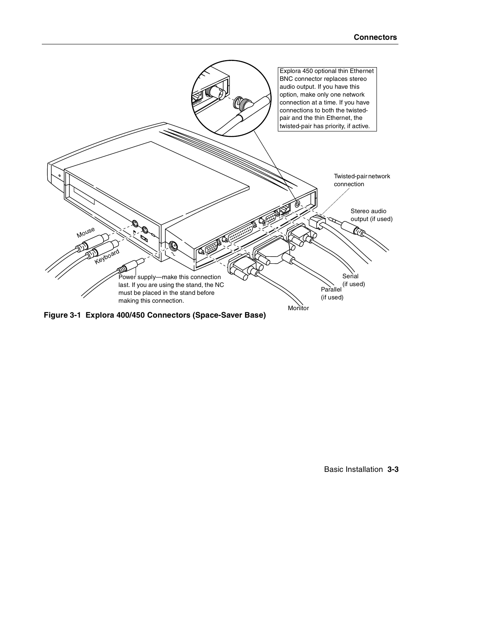

<span id="page-16-0"></span>**Figure 3-1 Explora 400/450 Connectors (Space-Saver Base)**

Basic Installation **3-3**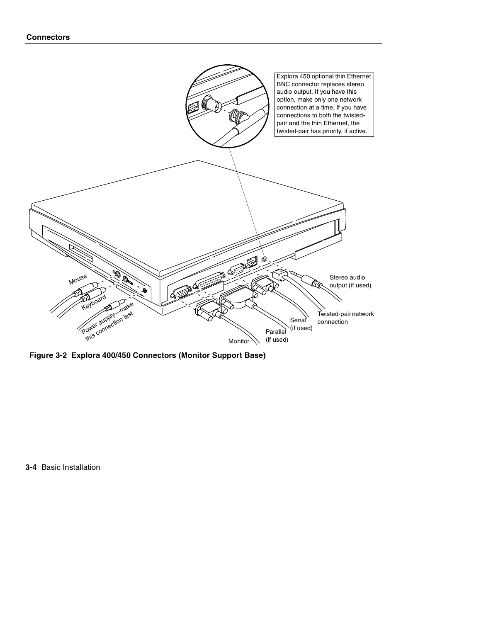

<span id="page-17-0"></span>**Figure 3-2 Explora 400/450 Connectors (Monitor Support Base)**

**3-4** Basic Installation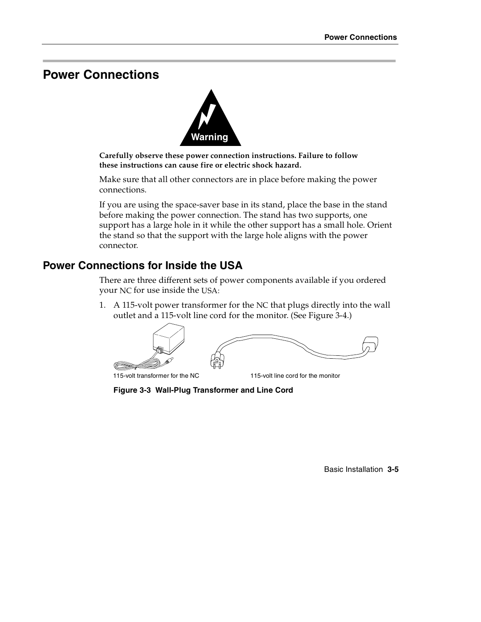# <span id="page-18-0"></span>**Power Connections**



**Carefully observe these power connection instructions. Failure to follow these instructions can cause fire or electric shock hazard.**

Make sure that all other connectors are in place before making the power connections.

If you are using the space-saver base in its stand, place the base in the stand before making the power connection. The stand has two supports, one support has a large hole in it while the other support has a small hole. Orient the stand so that the support with the large hole aligns with the power connector.

# <span id="page-18-1"></span>**Power Connections for Inside the USA**

There are three different sets of power components available if you ordered your NC for use inside the USA:

1. A 115-volt power transformer for the NC that plugs directly into the wall outlet and a 115-volt line cord for the monitor. (See [Figure 3-4.](#page-19-1))



115-volt transformer for the NC 115-volt line cord for the monitor

**Figure 3-3 Wall-Plug Transformer and Line Cord**

Basic Installation **3-5**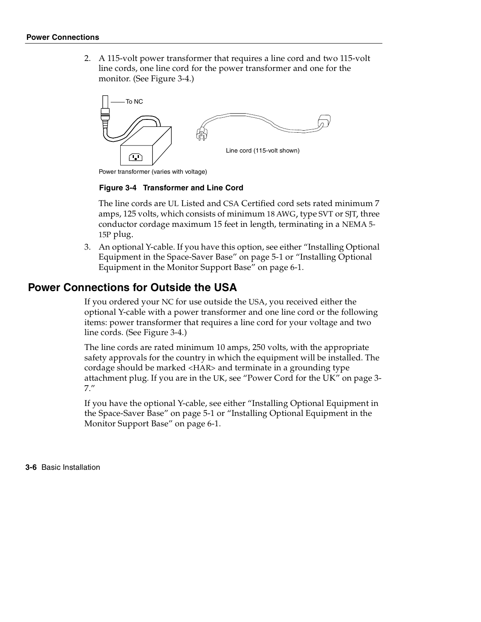2. A 115-volt power transformer that requires a line cord and two 115-volt line cords, one line cord for the power transformer and one for the monitor. (See [Figure 3-4](#page-19-1).)



Power transformer (varies with voltage)

#### <span id="page-19-1"></span>**Figure 3-4 Transformer and Line Cord**

The line cords are UL Listed and CSA Certified cord sets rated minimum 7 amps, 125 volts, which consists of minimum 18 AWG, type SVT or SJT, three conductor cordage maximum 15 feet in length, terminating in a NEMA 5- 15P plug.

3. An optional Y-cable. If you have this option, see either ["Installing Optional](#page-26-2)  [Equipment in the Space-Saver Base" on page 5-1](#page-26-2) or ["Installing Optional](#page-40-2)  [Equipment in the Monitor Support Base" on page 6-1](#page-40-2).

# <span id="page-19-0"></span>**Power Connections for Outside the USA**

If you ordered your NC for use outside the USA, you received either the optional Y-cable with a power transformer and one line cord or the following items: power transformer that requires a line cord for your voltage and two line cords. (See [Figure 3-4.](#page-19-1))

The line cords are rated minimum 10 amps, 250 volts, with the appropriate safety approvals for the country in which the equipment will be installed. The cordage should be marked <HAR> and terminate in a grounding type attachment plug. If you are in the UK, see ["Power Cord for the UK" on page 3-](#page-20-0) [7](#page-20-0)."

If you have the optional Y-cable, see either ["Installing Optional Equipment in](#page-26-2)  [the Space-Saver Base" on page 5-1](#page-26-2) or ["Installing Optional Equipment in the](#page-40-2)  [Monitor Support Base" on page 6-1.](#page-40-2)

**3-6** Basic Installation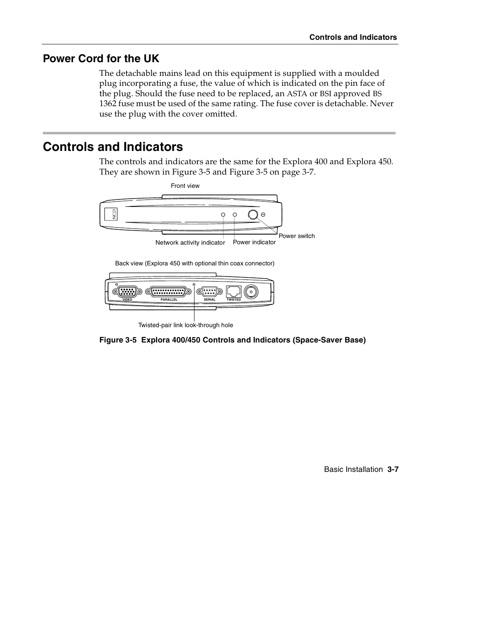# <span id="page-20-0"></span>**Power Cord for the UK**

The detachable mains lead on this equipment is supplied with a moulded plug incorporating a fuse, the value of which is indicated on the pin face of the plug. Should the fuse need to be replaced, an ASTA or BSI approved BS 1362 fuse must be used of the same rating. The fuse cover is detachable. Never use the plug with the cover omitted.

# <span id="page-20-1"></span>**Controls and Indicators**

The controls and indicators are the same for the Explora 400 and Explora 450. They are shown in [Figure 3-5](#page-20-2) and [Figure 3-5 on page 3-7.](#page-20-2)



<span id="page-20-2"></span>**Figure 3-5 Explora 400/450 Controls and Indicators (Space-Saver Base)**

Basic Installation **3-7**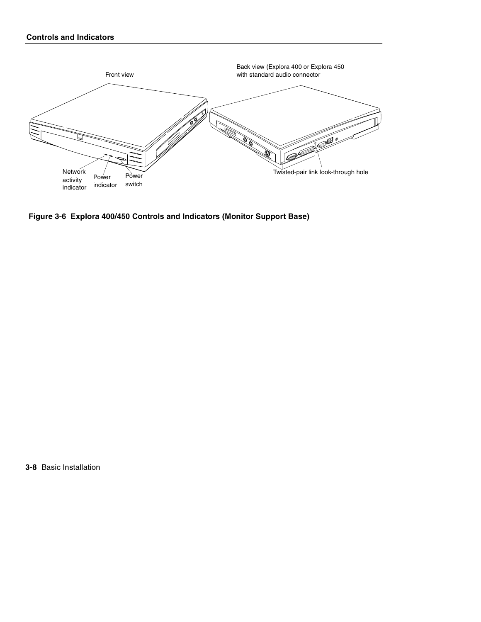

**Figure 3-6 Explora 400/450 Controls and Indicators (Monitor Support Base)**

**3-8** Basic Installation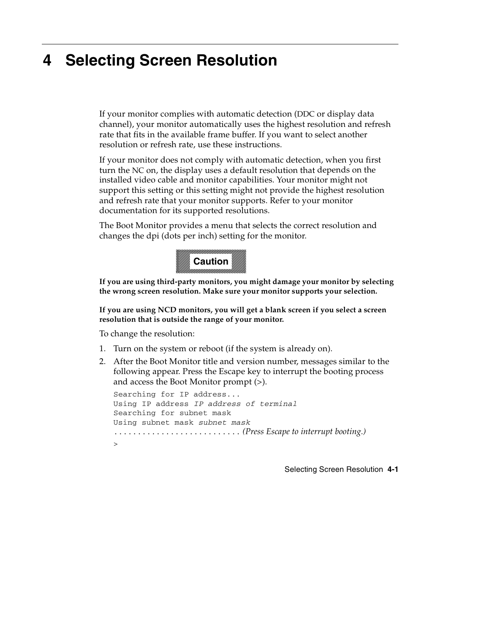# <span id="page-22-0"></span>**4 Selecting Screen Resolution**

If your monitor complies with automatic detection (DDC or display data channel), your monitor automatically uses the highest resolution and refresh rate that fits in the available frame buffer. If you want to select another resolution or refresh rate, use these instructions.

If your monitor does not comply with automatic detection, when you first turn the NC on, the display uses a default resolution that depends on the installed video cable and monitor capabilities. Your monitor might not support this setting or this setting might not provide the highest resolution and refresh rate that your monitor supports. Refer to your monitor documentation for its supported resolutions.

The Boot Monitor provides a menu that selects the correct resolution and changes the dpi (dots per inch) setting for the monitor.



**If you are using third-party monitors, you might damage your monitor by selecting the wrong screen resolution. Make sure your monitor supports your selection.** 

**If you are using NCD monitors, you will get a blank screen if you select a screen resolution that is outside the range of your monitor.** 

To change the resolution:

- 1. Turn on the system or reboot (if the system is already on).
- 2. After the Boot Monitor title and version number, messages similar to the following appear. Press the Escape key to interrupt the booting process and access the Boot Monitor prompt (>).

Searching for IP address... Using IP address IP address of terminal Searching for subnet mask Using subnet mask subnet mask ........................... *(Press Escape to interrupt booting.)*  $\geq$ 

Selecting Screen Resolution **4-1**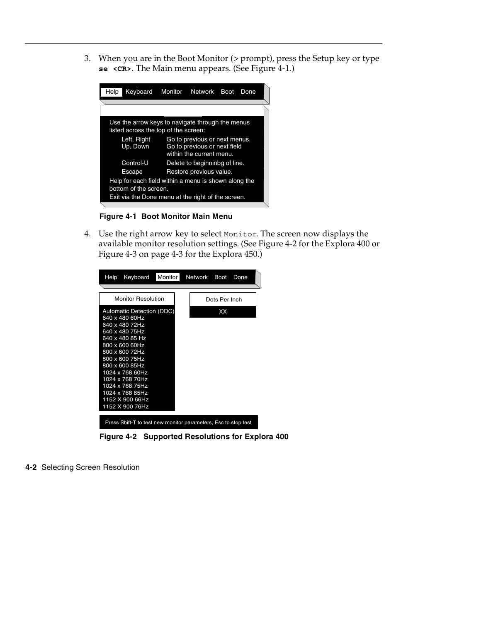3. When you are in the Boot Monitor (> prompt), press the Setup key or type **se <CR>**. The Main menu appears. (See [Figure 4-1.](#page-23-0))

| Help | Keyboard                                                                                                                            | Monitor                                                                                   | Network                       | <b>Boot</b> | Done |
|------|-------------------------------------------------------------------------------------------------------------------------------------|-------------------------------------------------------------------------------------------|-------------------------------|-------------|------|
|      |                                                                                                                                     |                                                                                           |                               |             |      |
|      |                                                                                                                                     |                                                                                           |                               |             |      |
|      | Use the arrow keys to navigate through the menus<br>listed across the top of the screen:                                            |                                                                                           |                               |             |      |
|      | Left, Right<br>Up. Down                                                                                                             | Go to previous or next menus.<br>Go to previous or next field<br>within the current menu. |                               |             |      |
|      | Control-U                                                                                                                           |                                                                                           | Delete to beginninbg of line. |             |      |
|      | Escape                                                                                                                              |                                                                                           | Restore previous value.       |             |      |
|      | Help for each field within a menu is shown along the<br>bottom of the screen.<br>Exit via the Done menu at the right of the screen. |                                                                                           |                               |             |      |
|      |                                                                                                                                     |                                                                                           |                               |             |      |

<span id="page-23-0"></span>**Figure 4-1 Boot Monitor Main Menu**

4. Use the right arrow key to select Monitor. The screen now displays the available monitor resolution settings. (See [Figure 4-2](#page-23-1) for the Explora 400 or [Figure 4-3 on page 4-3](#page-24-0) for the Explora 450.)

|                                    | Help Keyboard                                                                                                                                                                                                                                          | Monitor I |  | Network | Boot          | Done |
|------------------------------------|--------------------------------------------------------------------------------------------------------------------------------------------------------------------------------------------------------------------------------------------------------|-----------|--|---------|---------------|------|
|                                    |                                                                                                                                                                                                                                                        |           |  |         |               |      |
|                                    | Monitor Resolution                                                                                                                                                                                                                                     |           |  |         | Dots Per Inch |      |
|                                    | Automatic Detection (DDC)<br>640 x 480 60Hz<br>640 x 480 72Hz<br>640 x 480 75Hz<br>640 x 480 85 Hz<br>800 x 600 60Hz<br>800 x 600 72Hz<br>800 x 600 75Hz<br>800 x 600 85Hz<br>1024 x 768 60Hz<br>1024 x 768 70Hz<br>1024 x 768 75Hz<br>1024 x 768 85Hz |           |  |         | <b>XX</b>     |      |
| 1152 X 900 66Hz<br>1152 X 900 76Hz |                                                                                                                                                                                                                                                        |           |  |         |               |      |
|                                    |                                                                                                                                                                                                                                                        |           |  |         |               |      |
|                                    | Press Shift-T to test new monitor parameters, Esc to stop test                                                                                                                                                                                         |           |  |         |               |      |

<span id="page-23-1"></span>**Figure 4-2 Supported Resolutions for Explora 400**

**4-2** Selecting Screen Resolution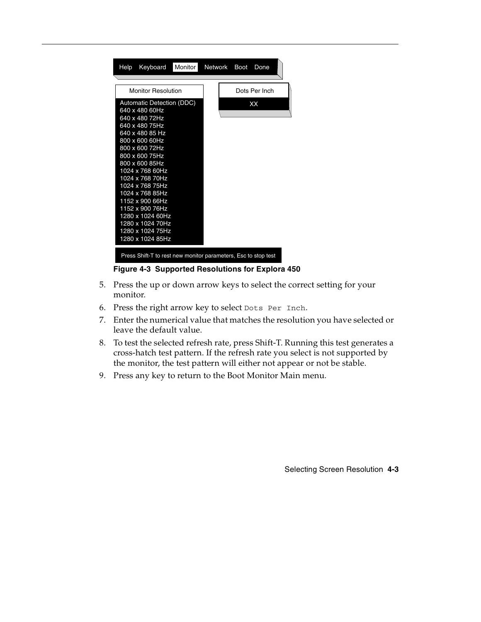| <b>Monitor</b><br>Keyboard<br>Help                                                                                                                                                                                                                                                                                                                                       | Network<br>Boot<br>Done |
|--------------------------------------------------------------------------------------------------------------------------------------------------------------------------------------------------------------------------------------------------------------------------------------------------------------------------------------------------------------------------|-------------------------|
| <b>Monitor Resolution</b><br><b>Automatic Detection (DDC)</b><br>640 x 480 60Hz<br>640 x 480 72Hz<br>640 x 480 75Hz<br>640 x 480 85 Hz<br>800 x 600 60Hz<br>800 x 600 72Hz<br>800 x 600 75Hz<br>800 x 600 85Hz<br>1024 x 768 60Hz<br>1024 x 768 70Hz<br>1024 x 768 75Hz<br>1024 x 768 85Hz<br>1152 x 900 66Hz<br>1152 x 900 76Hz<br>1280 x 1024 60Hz<br>1280 x 1024 70Hz | Dots Per Inch<br>XX     |
| 1280 x 1024 75Hz<br>1280 x 1024 85Hz<br>Press Shift-T to rest new monitor parameters, Esc to stop test                                                                                                                                                                                                                                                                   |                         |

<span id="page-24-0"></span>**Figure 4-3 Supported Resolutions for Explora 450**

- 5. Press the up or down arrow keys to select the correct setting for your monitor.
- 6. Press the right arrow key to select Dots Per Inch.
- 7. Enter the numerical value that matches the resolution you have selected or leave the default value.
- 8. To test the selected refresh rate, press Shift-T. Running this test generates a cross-hatch test pattern. If the refresh rate you select is not supported by the monitor, the test pattern will either not appear or not be stable.
- 9. Press any key to return to the Boot Monitor Main menu.

Selecting Screen Resolution **4-3**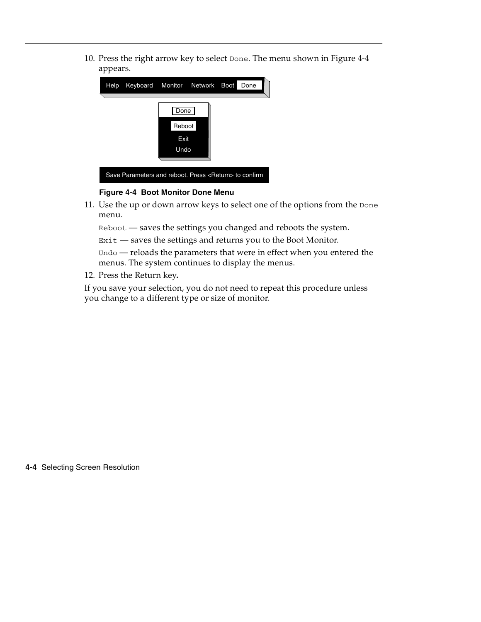10. Press the right arrow key to select Done. The menu shown in [Figure 4-4](#page-25-0) appears.

| $He$ lp | Keyboard Monitor Network Boot Done                             |        |  |  |
|---------|----------------------------------------------------------------|--------|--|--|
|         |                                                                | Done   |  |  |
|         |                                                                | Reboot |  |  |
|         |                                                                | Exit   |  |  |
|         |                                                                | Undo   |  |  |
|         | Save Parameters and reboot. Press <return> to confirm</return> |        |  |  |

#### <span id="page-25-0"></span>**Figure 4-4 Boot Monitor Done Menu**

11. Use the up or down arrow keys to select one of the options from the Done menu.

Reboot — saves the settings you changed and reboots the system.

Exit — saves the settings and returns you to the Boot Monitor.

Undo — reloads the parameters that were in effect when you entered the menus. The system continues to display the menus.

12. Press the Return key**.**

If you save your selection, you do not need to repeat this procedure unless you change to a different type or size of monitor.

**4-4** Selecting Screen Resolution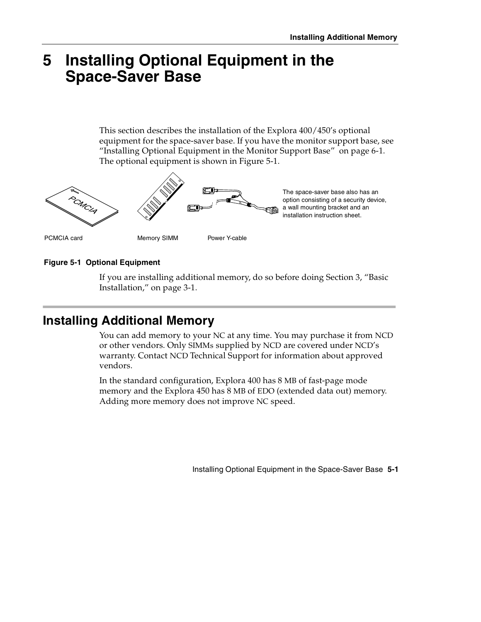# <span id="page-26-2"></span><span id="page-26-0"></span>**5 Installing Optional Equipment in the Space-Saver Base**

This section describes the installation of the Explora 400/450's optional equipment for the space-saver base. If you have the monitor support base, see ["Installing Optional Equipment in the Monitor Support Base" on page 6-1.](#page-40-2) The optional equipment is shown in [Figure 5-1.](#page-26-3)



#### <span id="page-26-3"></span>**Figure 5-1 Optional Equipment**

If you are installing additional memory, do so before doing [Section 3, "Basic](#page-14-1)  [Installation," on page 3-1](#page-14-1).

# <span id="page-26-1"></span>**Installing Additional Memory**

You can add memory to your NC at any time. You may purchase it from NCD or other vendors. Only SIMMs supplied by NCD are covered under NCD's warranty. Contact NCD Technical Support for information about approved vendors.

In the standard configuration, Explora 400 has 8 MB of fast-page mode memory and the Explora 450 has 8 MB of EDO (extended data out) memory. Adding more memory does not improve NC speed.

Installing Optional Equipment in the Space-Saver Base **5-1**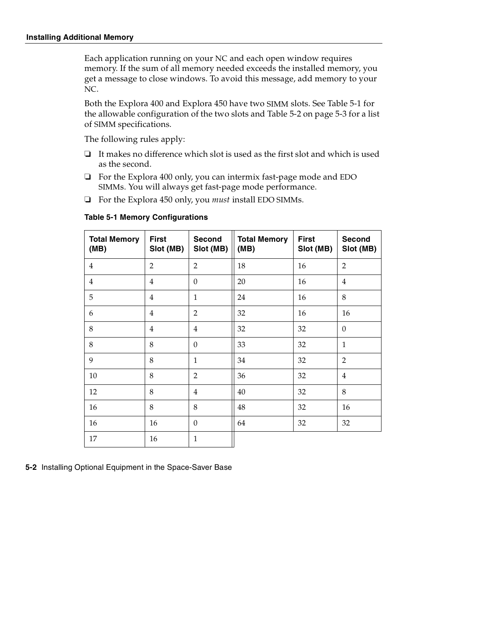Each application running on your NC and each open window requires memory. If the sum of all memory needed exceeds the installed memory, you get a message to close windows. To avoid this message, add memory to your NC.

Both the Explora 400 and Explora 450 have two SIMM slots. See [Table 5-1](#page-27-0) for the allowable configuration of the two slots and [Table 5-2 on page 5-3](#page-28-0) for a list of SIMM specifications.

The following rules apply:

- ❏ It makes no difference which slot is used as the first slot and which is used as the second.
- ❏ For the Explora 400 only, you can intermix fast-page mode and EDO SIMMs. You will always get fast-page mode performance.
- ❏ For the Explora 450 only, you *must* install EDO SIMMs.

#### <span id="page-27-0"></span>**Table 5-1 Memory Configurations**

| <b>Total Memory</b><br>(MB) | <b>First</b><br>Slot (MB) | <b>Second</b><br>Slot (MB) | <b>Total Memory</b><br>(MB) | <b>First</b><br>Slot (MB) | <b>Second</b><br>Slot (MB) |
|-----------------------------|---------------------------|----------------------------|-----------------------------|---------------------------|----------------------------|
| $\overline{4}$              | $\overline{2}$            | $\overline{2}$             | 18                          | 16                        | $\overline{2}$             |
| $\overline{4}$              | $\overline{4}$            | $\boldsymbol{0}$           | 20                          | 16                        | $\overline{4}$             |
| 5                           | $\overline{4}$            | $\mathbf{1}$               | 24                          | 16                        | 8                          |
| 6                           | $\overline{4}$            | $\overline{2}$             | 32                          | 16                        | 16                         |
| 8                           | $\overline{4}$            | $\overline{4}$             | 32                          | 32                        | $\mathbf{0}$               |
| 8                           | 8                         | $\boldsymbol{0}$           | 33                          | 32                        | $\mathbf{1}$               |
| 9                           | 8                         | $\mathbf{1}$               | 34                          | 32                        | $\overline{2}$             |
| 10                          | 8                         | $\overline{2}$             | 36                          | 32                        | $\overline{4}$             |
| 12                          | 8                         | 4                          | 40                          | 32                        | 8                          |
| 16                          | 8                         | 8                          | 48                          | 32                        | 16                         |
| 16                          | 16                        | $\boldsymbol{0}$           | 64                          | 32                        | 32                         |
| 17                          | 16                        | $\mathbf{1}$               |                             |                           |                            |

#### **5-2** Installing Optional Equipment in the Space-Saver Base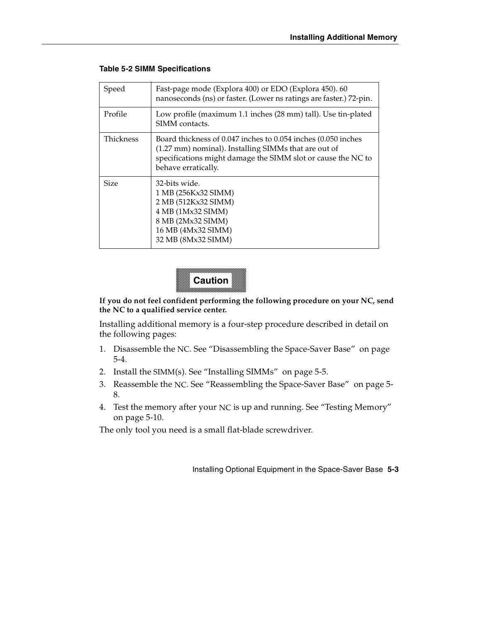| Speed       | Fast-page mode (Explora 400) or EDO (Explora 450). 60<br>nanoseconds (ns) or faster. (Lower ns ratings are faster.) 72-pin.                                                                                  |
|-------------|--------------------------------------------------------------------------------------------------------------------------------------------------------------------------------------------------------------|
| Profile     | Low profile (maximum 1.1 inches (28 mm) tall). Use tin-plated<br>SIMM contacts.                                                                                                                              |
| Thickness   | Board thickness of 0.047 inches to 0.054 inches (0.050 inches<br>(1.27 mm) nominal). Installing SIMMs that are out of<br>specifications might damage the SIMM slot or cause the NC to<br>behave erratically. |
| <b>Size</b> | 32-bits wide.<br>1 MB (256Kx32 SIMM)<br>2 MB (512Kx32 SIMM)<br>4 MB (1Mx32 SIMM)<br>8 MB (2Mx32 SIMM)<br>16 MB (4Mx32 SIMM)<br>32 MB (8Mx32 SIMM)                                                            |

#### <span id="page-28-0"></span>**Table 5-2 SIMM Specifications**



**If you do not feel confident performing the following procedure on your NC, send the NC to a qualified service center.**

Installing additional memory is a four-step procedure described in detail on the following pages:

- 1. Disassemble the NC. See ["Disassembling the Space-Saver Base" on page](#page-29-0)  [5-4](#page-29-0).
- 2. Install the SIMM(s). See ["Installing SIMMs" on page 5-5](#page-30-0).
- 3. Reassemble the NC. See ["Reassembling the Space-Saver Base" on page 5-](#page-33-0) [8](#page-33-0).
- 4. Test the memory after your NC is up and running. See ["Testing Memory"](#page-35-0)  [on page 5-10.](#page-35-0)

The only tool you need is a small flat-blade screwdriver.

Installing Optional Equipment in the Space-Saver Base **5-3**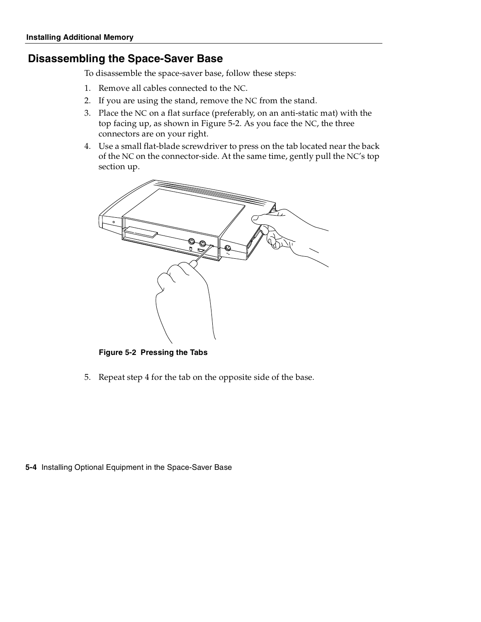# <span id="page-29-0"></span>**Disassembling the Space-Saver Base**

To disassemble the space-saver base, follow these steps:

- 1. Remove all cables connected to the NC.
- 2. If you are using the stand, remove the NC from the stand.
- 3. Place the NC on a flat surface (preferably, on an anti-static mat) with the top facing up, as shown in [Figure 5-2](#page-29-1). As you face the NC, the three connectors are on your right.
- <span id="page-29-2"></span>4. Use a small flat-blade screwdriver to press on the tab located near the back of the NC on the connector-side. At the same time, gently pull the NC's top section up.



<span id="page-29-1"></span>**Figure 5-2 Pressing the Tabs**

5. Repeat [step 4](#page-29-2) for the tab on the opposite side of the base.

#### **5-4** Installing Optional Equipment in the Space-Saver Base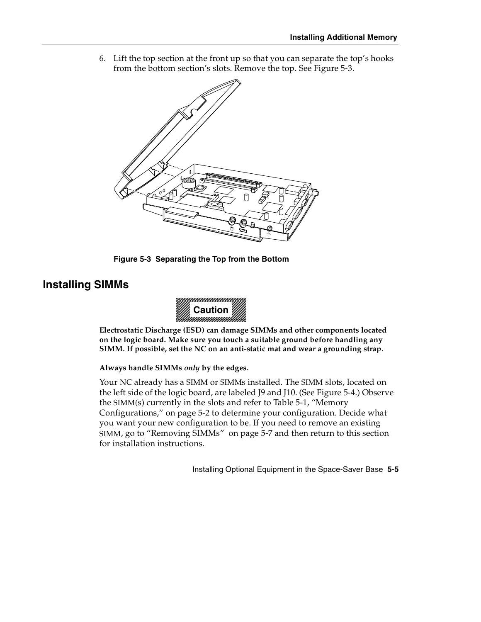6. Lift the top section at the front up so that you can separate the top's hooks from the bottom section's slots. Remove the top. See [Figure 5-3.](#page-30-1)



<span id="page-30-1"></span>**Figure 5-3 Separating the Top from the Bottom**

# <span id="page-30-0"></span>**Installing SIMMs**



**Electrostatic Discharge (ESD) can damage SIMMs and other components located on the logic board. Make sure you touch a suitable ground before handling any SIMM. If possible, set the NC on an anti-static mat and wear a grounding strap.**

#### **Always handle SIMMs** *only* **by the edges.**

Your NC already has a SIMM or SIMMs installed. The SIMM slots, located on the left side of the logic board, are labeled J9 and J10. (See [Figure 5-4](#page-31-0).) Observe the SIMM(s) currently in the slots and refer to [Table 5-1, "Memory](#page-27-0)  [Configurations," on page 5-2](#page-27-0) to determine your configuration. Decide what you want your new configuration to be. If you need to remove an existing SIMM, go to ["Removing SIMMs" on page 5-7](#page-32-0) and then return to this section for installation instructions.

Installing Optional Equipment in the Space-Saver Base **5-5**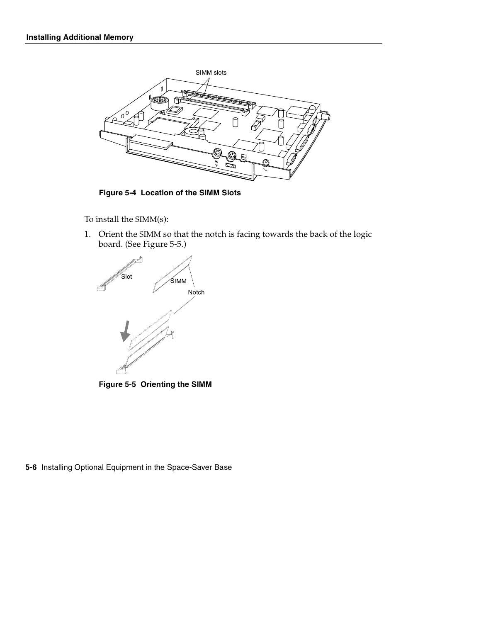

**Figure 5-4 Location of the SIMM Slots**

<span id="page-31-0"></span>To install the SIMM(s):

1. Orient the SIMM so that the notch is facing towards the back of the logic board. (See [Figure 5-5.](#page-31-1))



<span id="page-31-1"></span>**Figure 5-5 Orienting the SIMM** 

## **5-6** Installing Optional Equipment in the Space-Saver Base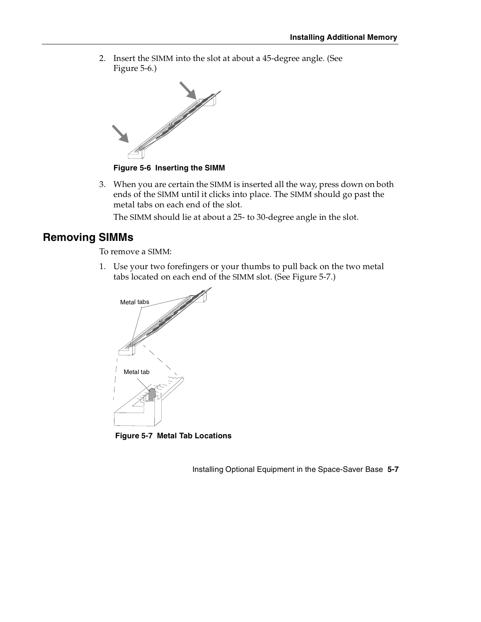2. Insert the SIMM into the slot at about a 45-degree angle. (See [Figure 5-6](#page-32-1).)



**Figure 5-6 Inserting the SIMM**

<span id="page-32-1"></span>3. When you are certain the SIMM is inserted all the way, press down on both ends of the SIMM until it clicks into place. The SIMM should go past the metal tabs on each end of the slot.

The SIMM should lie at about a 25- to 30-degree angle in the slot.

# <span id="page-32-0"></span>**Removing SIMMs**

To remove a SIMM:

1. Use your two forefingers or your thumbs to pull back on the two metal tabs located on each end of the SIMM slot. (See [Figure 5-7.](#page-32-2))



<span id="page-32-2"></span>**Figure 5-7 Metal Tab Locations**

Installing Optional Equipment in the Space-Saver Base **5-7**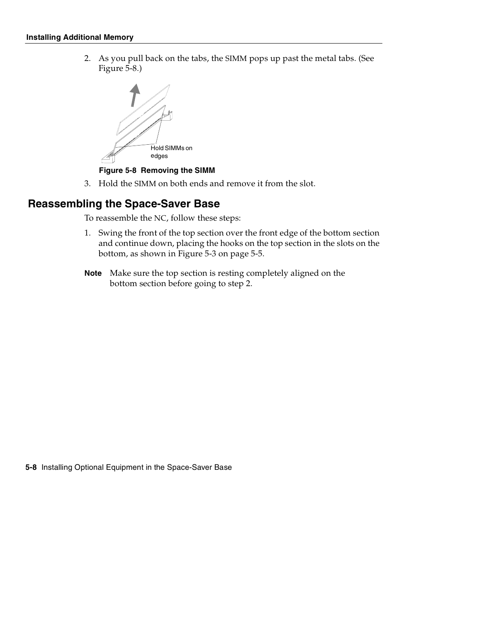2. As you pull back on the tabs, the SIMM pops up past the metal tabs. (See [Figure 5-8](#page-33-1).)



#### <span id="page-33-1"></span>**Figure 5-8 Removing the SIMM**

3. Hold the SIMM on both ends and remove it from the slot.

# <span id="page-33-0"></span>**Reassembling the Space-Saver Base**

To reassemble the NC, follow these steps:

- 1. Swing the front of the top section over the front edge of the bottom section and continue down, placing the hooks on the top section in the slots on the bottom, as shown in [Figure 5-3 on page 5-5](#page-30-1).
- **Note** Make sure the top section is resting completely aligned on the bottom section before going to [step 2.](#page-34-0)

**5-8** Installing Optional Equipment in the Space-Saver Base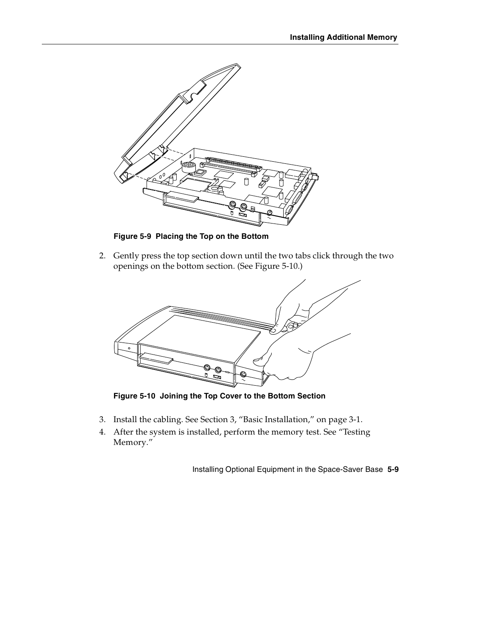

**Figure 5-9 Placing the Top on the Bottom**

<span id="page-34-0"></span>2. Gently press the top section down until the two tabs click through the two openings on the bottom section. (See [Figure 5-10](#page-34-1).)



**Figure 5-10 Joining the Top Cover to the Bottom Section**

- <span id="page-34-1"></span>3. Install the cabling. See [Section 3, "Basic Installation," on page 3-1](#page-14-1).
- 4. After the system is installed, perform the memory test. See ["Testing](#page-35-0)  [Memory](#page-35-0)."

Installing Optional Equipment in the Space-Saver Base **5-9**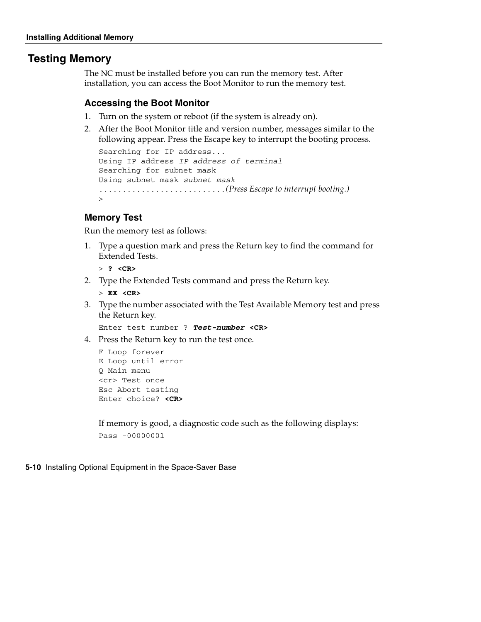# <span id="page-35-0"></span>**Testing Memory**

The NC must be installed before you can run the memory test. After installation, you can access the Boot Monitor to run the memory test.

## **Accessing the Boot Monitor**

- 1. Turn on the system or reboot (if the system is already on).
- 2. After the Boot Monitor title and version number, messages similar to the following appear. Press the Escape key to interrupt the booting process.

```
Searching for IP address...
Using IP address IP address of terminal
Searching for subnet mask
Using subnet mask subnet mask
...........................(Press Escape to interrupt booting.)
\sim
```
# **Memory Test**

Run the memory test as follows:

- 1. Type a question mark and press the Return key to find the command for Extended Tests.
	- > **? <CR>**
- 2. Type the Extended Tests command and press the Return key.

```
> EX <CR>
```
3. Type the number associated with the Test Available Memory test and press the Return key.

```
Enter test number ? Test-number <CR>
```
4. Press the Return key to run the test once.

```
F Loop forever
E Loop until error
Q Main menu
<cr> Test once
Esc Abort testing
Enter choice? <CR>
```
If memory is good, a diagnostic code such as the following displays: Pass -00000001

## **5-10** Installing Optional Equipment in the Space-Saver Base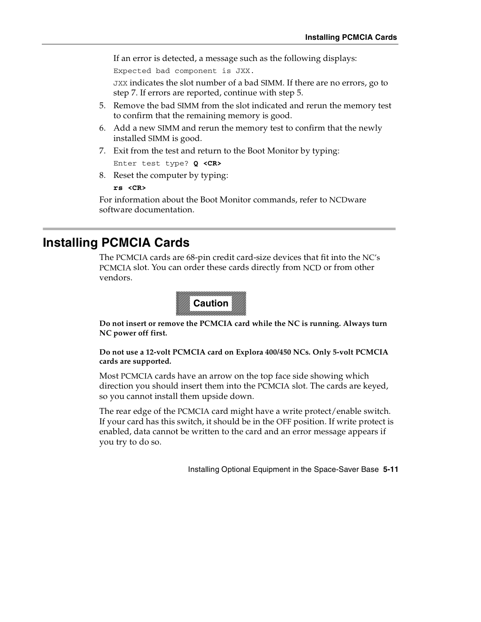If an error is detected, a message such as the following displays:

Expected bad component is JXX.

JXX indicates the slot number of a bad SIMM. If there are no errors, go to [step 7.](#page-36-1) If errors are reported, continue with [step 5.](#page-36-2)

- <span id="page-36-2"></span>5. Remove the bad SIMM from the slot indicated and rerun the memory test to confirm that the remaining memory is good.
- 6. Add a new SIMM and rerun the memory test to confirm that the newly installed SIMM is good.
- <span id="page-36-1"></span>7. Exit from the test and return to the Boot Monitor by typing: Enter test type? **Q <CR>**
- 8. Reset the computer by typing:

**rs <CR>**

For information about the Boot Monitor commands, refer to NCDware software documentation.

# <span id="page-36-0"></span>**Installing PCMCIA Cards**

The PCMCIA cards are 68-pin credit card-size devices that fit into the NC's PCMCIA slot. You can order these cards directly from NCD or from other vendors.



**Do not insert or remove the PCMCIA card while the NC is running. Always turn NC power off first.** 

**Do not use a 12-volt PCMCIA card on Explora 400/450 NCs. Only 5-volt PCMCIA cards are supported.**

Most PCMCIA cards have an arrow on the top face side showing which direction you should insert them into the PCMCIA slot. The cards are keyed, so you cannot install them upside down.

The rear edge of the PCMCIA card might have a write protect/enable switch. If your card has this switch, it should be in the OFF position. If write protect is enabled, data cannot be written to the card and an error message appears if you try to do so.

Installing Optional Equipment in the Space-Saver Base **5-11**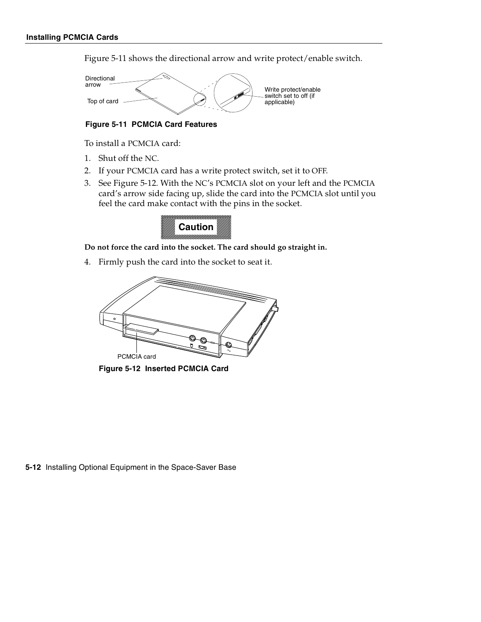[Figure 5-11](#page-37-1) shows the directional arrow and write protect/enable switch.



<span id="page-37-1"></span>**Figure 5-11 PCMCIA Card Features**

To install a PCMCIA card:

- 1. Shut off the NC.
- 2. If your PCMCIA card has a write protect switch, set it to OFF.
- 3. See [Figure 5-12.](#page-37-0) With the NC's PCMCIA slot on your left and the PCMCIA card's arrow side facing up, slide the card into the PCMCIA slot until you feel the card make contact with the pins in the socket.



**Do not force the card into the socket. The card should go straight in.**

4. Firmly push the card into the socket to seat it.

<span id="page-37-0"></span>

**Figure 5-12 Inserted PCMCIA Card**

#### **5-12** Installing Optional Equipment in the Space-Saver Base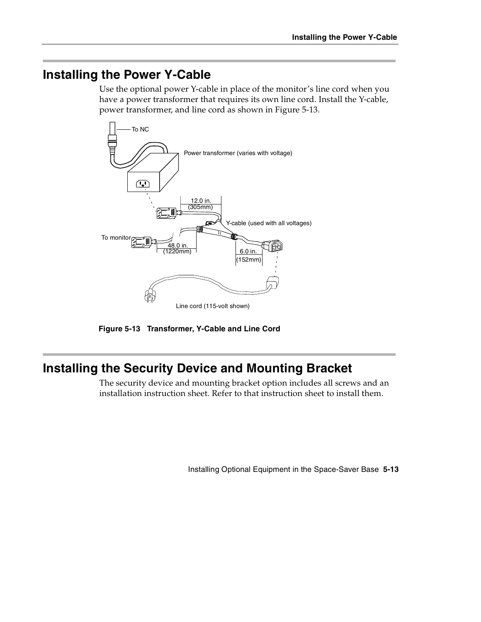# <span id="page-38-0"></span>**Installing the Power Y-Cable**

Use the optional power Y-cable in place of the monitor's line cord when you have a power transformer that requires its own line cord. Install the Y-cable, power transformer, and line cord as shown in [Figure 5-13.](#page-38-2)



<span id="page-38-2"></span>**Figure 5-13 Transformer, Y-Cable and Line Cord**

# <span id="page-38-1"></span>**Installing the Security Device and Mounting Bracket**

The security device and mounting bracket option includes all screws and an installation instruction sheet. Refer to that instruction sheet to install them.

Installing Optional Equipment in the Space-Saver Base **5-13**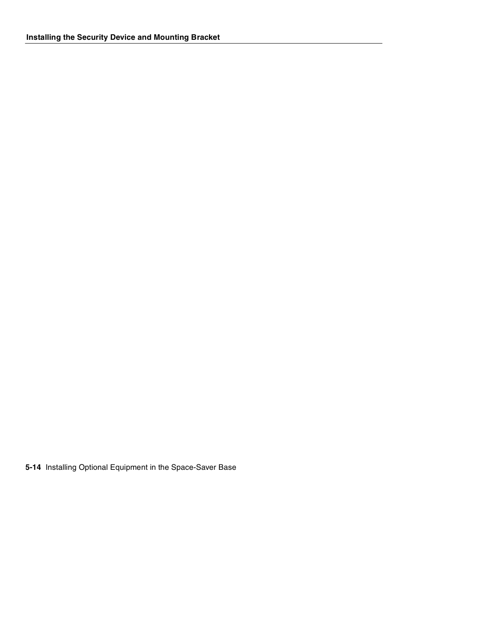**5-14** Installing Optional Equipment in the Space-Saver Base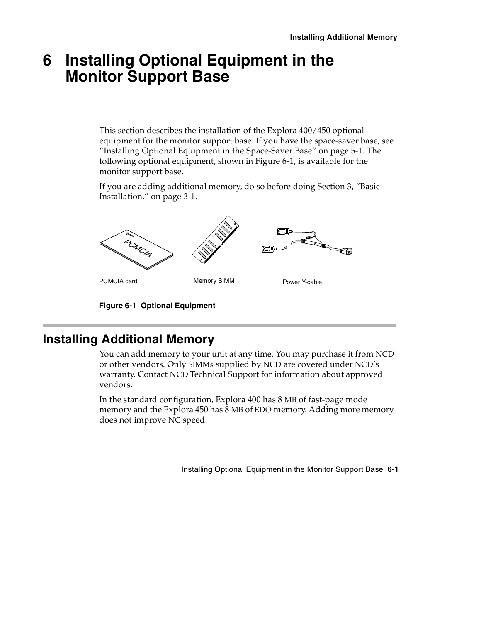# <span id="page-40-2"></span><span id="page-40-0"></span>**6 Installing Optional Equipment in the Monitor Support Base**

This section describes the installation of the Explora 400/450 optional equipment for the monitor support base. If you have the space-saver base, see ["Installing Optional Equipment in the Space-Saver Base" on page 5-1.](#page-26-2) The following optional equipment, shown in [Figure 6-1](#page-40-3), is available for the monitor support base.

If you are adding additional memory, do so before doing [Section 3, "Basic](#page-14-1)  [Installation," on page 3-1](#page-14-1).



<span id="page-40-3"></span>**Figure 6-1 Optional Equipment**

# <span id="page-40-1"></span>**Installing Additional Memory**

You can add memory to your unit at any time. You may purchase it from NCD or other vendors. Only SIMMs supplied by NCD are covered under NCD's warranty. Contact NCD Technical Support for information about approved vendors.

In the standard configuration, Explora 400 has 8 MB of fast-page mode memory and the Explora 450 has 8 MB of EDO memory. Adding more memory does not improve NC speed.

Installing Optional Equipment in the Monitor Support Base **6-1**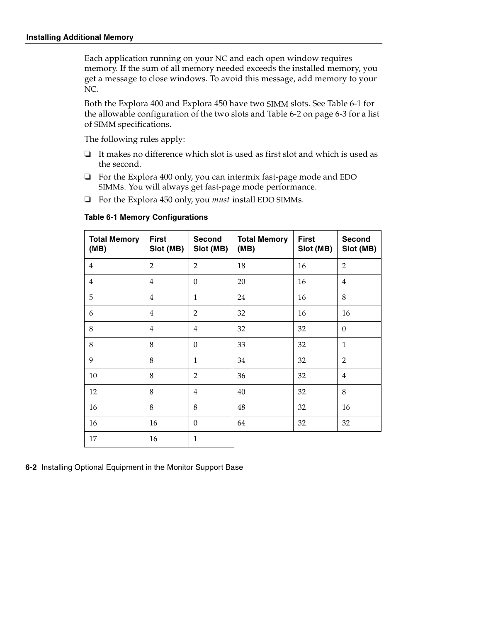Each application running on your NC and each open window requires memory. If the sum of all memory needed exceeds the installed memory, you get a message to close windows. To avoid this message, add memory to your NC.

Both the Explora 400 and Explora 450 have two SIMM slots. See [Table 6-1](#page-41-0) for the allowable configuration of the two slots and [Table 6-2 on page 6-3](#page-42-0) for a list of SIMM specifications.

The following rules apply:

- ❏ It makes no difference which slot is used as first slot and which is used as the second.
- ❏ For the Explora 400 only, you can intermix fast-page mode and EDO SIMMs. You will always get fast-page mode performance.
- ❏ For the Explora 450 only, you *must* install EDO SIMMs.

#### <span id="page-41-0"></span>**Table 6-1 Memory Configurations**

| <b>Total Memory</b><br>(MB) | <b>First</b><br>Slot (MB) | <b>Second</b><br>Slot (MB) | <b>Total Memory</b><br>(MB) | <b>First</b><br>Slot (MB) | <b>Second</b><br>Slot (MB) |
|-----------------------------|---------------------------|----------------------------|-----------------------------|---------------------------|----------------------------|
| $\overline{4}$              | $\overline{2}$            | $\overline{2}$             | 18                          | 16                        | $\overline{2}$             |
| $\overline{4}$              | $\overline{4}$            | $\boldsymbol{0}$           | 20                          | 16                        | $\overline{4}$             |
| 5                           | $\overline{4}$            | $\mathbf{1}$               | 24                          | 16                        | 8                          |
| 6                           | $\overline{4}$            | $\overline{2}$             | 32                          | 16                        | 16                         |
| 8                           | $\overline{4}$            | $\overline{4}$             | 32                          | 32                        | $\mathbf{0}$               |
| 8                           | 8                         | $\theta$                   | 33                          | 32                        | $\mathbf{1}$               |
| 9                           | 8                         | $\mathbf{1}$               | 34                          | 32                        | $\overline{2}$             |
| 10                          | 8                         | $\overline{2}$             | 36                          | 32                        | $\overline{4}$             |
| 12                          | 8                         | 4                          | 40                          | 32                        | 8                          |
| 16                          | 8                         | 8                          | 48                          | 32                        | 16                         |
| 16                          | 16                        | $\boldsymbol{0}$           | 64                          | 32                        | 32                         |
| 17                          | 16                        | $\mathbf{1}$               |                             |                           |                            |

#### **6-2** Installing Optional Equipment in the Monitor Support Base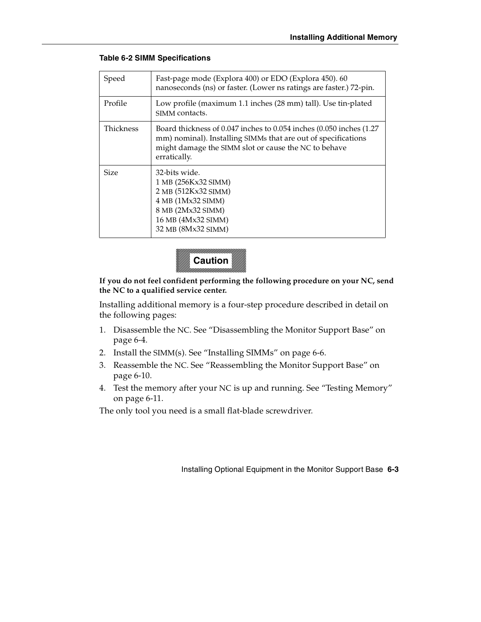| Speed            | Fast-page mode (Explora 400) or EDO (Explora 450). 60<br>nanoseconds (ns) or faster. (Lower ns ratings are faster.) 72-pin.                                                                                           |
|------------------|-----------------------------------------------------------------------------------------------------------------------------------------------------------------------------------------------------------------------|
| Profile          | Low profile (maximum 1.1 inches (28 mm) tall). Use tin-plated<br>SIMM contacts.                                                                                                                                       |
| <b>Thickness</b> | Board thickness of $0.047$ inches to $0.054$ inches $(0.050$ inches $(1.27)$<br>mm) nominal). Installing SIMMs that are out of specifications<br>might damage the SIMM slot or cause the NC to behave<br>erratically. |
| <b>Size</b>      | 32-bits wide.<br>1 MB (256Kx32 SIMM)<br>2 MB (512Kx32 SIMM)<br>4 MB (1Mx32 SIMM)<br>8 MB (2Mx32 SIMM)<br>16 MB (4Mx32 SIMM)<br>32 MB (8Mx32 SIMM)                                                                     |

#### <span id="page-42-0"></span>**Table 6-2 SIMM Specifications**



#### **If you do not feel confident performing the following procedure on your NC, send the NC to a qualified service center.**

Installing additional memory is a four-step procedure described in detail on the following pages:

- 1. Disassemble the NC. See ["Disassembling the Monitor Support Base" on](#page-43-0)  [page 6-4](#page-43-0).
- 2. Install the SIMM(s). See ["Installing SIMMs" on page 6-6.](#page-45-0)
- 3. Reassemble the NC. See ["Reassembling the Monitor Support Base" on](#page-49-0)  [page 6-10.](#page-49-0)
- 4. Test the memory after your NC is up and running. See ["Testing Memory"](#page-50-0) [on page 6-11](#page-50-0).

The only tool you need is a small flat-blade screwdriver.

Installing Optional Equipment in the Monitor Support Base **6-3**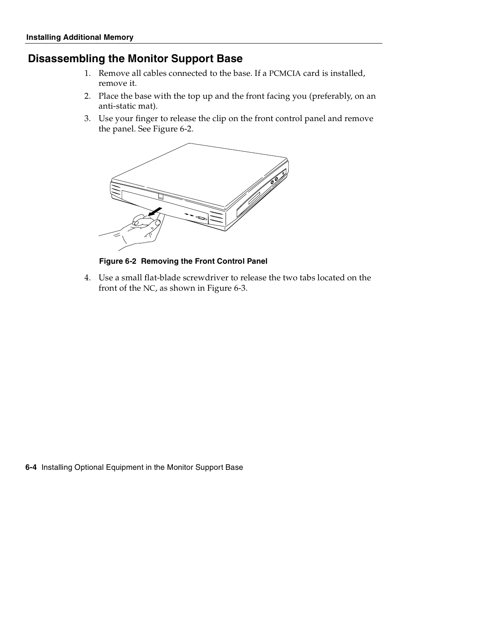# <span id="page-43-0"></span>**Disassembling the Monitor Support Base**

- 1. Remove all cables connected to the base. If a PCMCIA card is installed, remove it.
- 2. Place the base with the top up and the front facing you (preferably, on an anti-static mat).
- 3. Use your finger to release the clip on the front control panel and remove the panel. See [Figure 6-2.](#page-43-1)



**Figure 6-2 Removing the Front Control Panel**

<span id="page-43-1"></span>4. Use a small flat-blade screwdriver to release the two tabs located on the front of the NC, as shown in [Figure 6-3.](#page-44-0)

**6-4** Installing Optional Equipment in the Monitor Support Base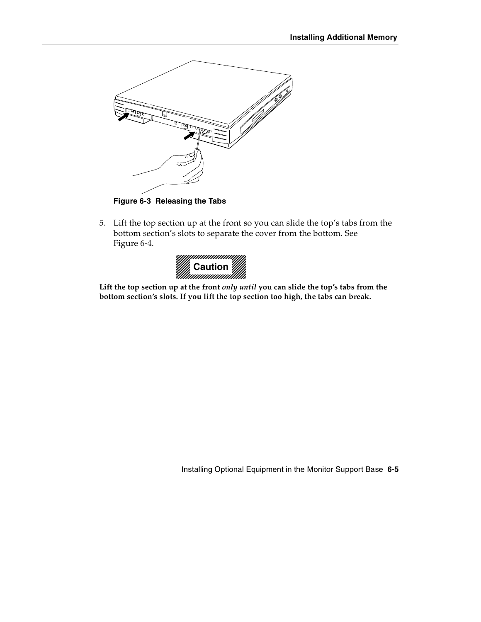

<span id="page-44-0"></span>5. Lift the top section up at the front so you can slide the top's tabs from the bottom section's slots to separate the cover from the bottom. See [Figure 6-4](#page-45-1).



**Lift the top section up at the front** *only until* **you can slide the top's tabs from the bottom section's slots. If you lift the top section too high, the tabs can break.**

Installing Optional Equipment in the Monitor Support Base **6-5**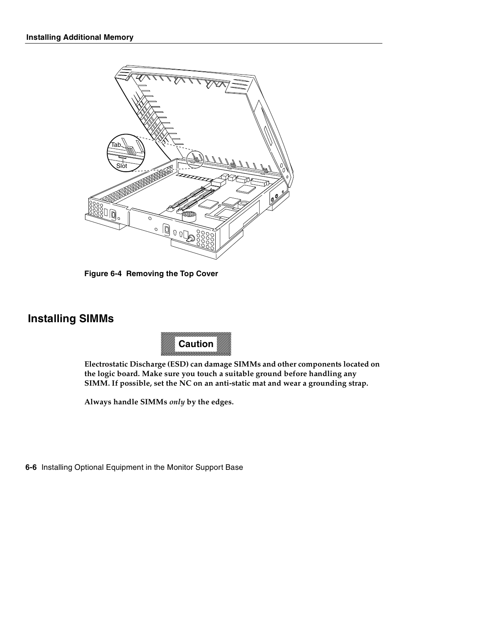

**Figure 6-4 Removing the Top Cover**

# <span id="page-45-1"></span><span id="page-45-0"></span>**Installing SIMMs**



**Electrostatic Discharge (ESD) can damage SIMMs and other components located on the logic board. Make sure you touch a suitable ground before handling any SIMM. If possible, set the NC on an anti-static mat and wear a grounding strap.**

**Always handle SIMMs** *only* **by the edges.**

**6-6** Installing Optional Equipment in the Monitor Support Base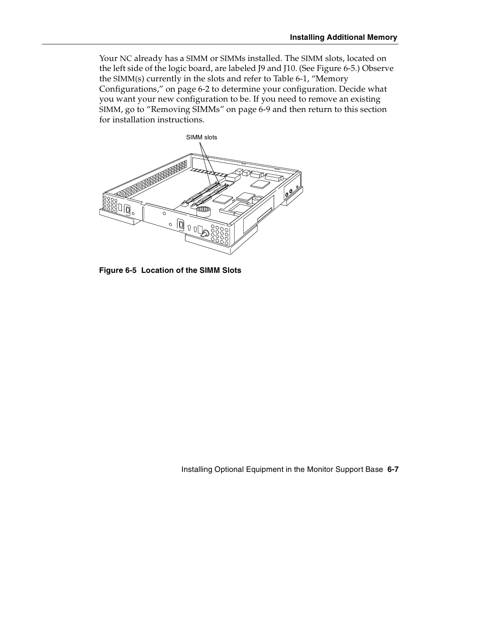Your NC already has a SIMM or SIMMs installed. The SIMM slots, located on the left side of the logic board, are labeled J9 and J10. (See [Figure 6-5](#page-46-0).) Observe the SIMM(s) currently in the slots and refer to [Table 6-1, "Memory](#page-41-0)  [Configurations," on page 6-2](#page-41-0) to determine your configuration. Decide what you want your new configuration to be. If you need to remove an existing SIMM, go to ["Removing SIMMs" on page 6-9](#page-48-0) and then return to this section for installation instructions.

<span id="page-46-0"></span>

**Figure 6-5 Location of the SIMM Slots**

Installing Optional Equipment in the Monitor Support Base **6-7**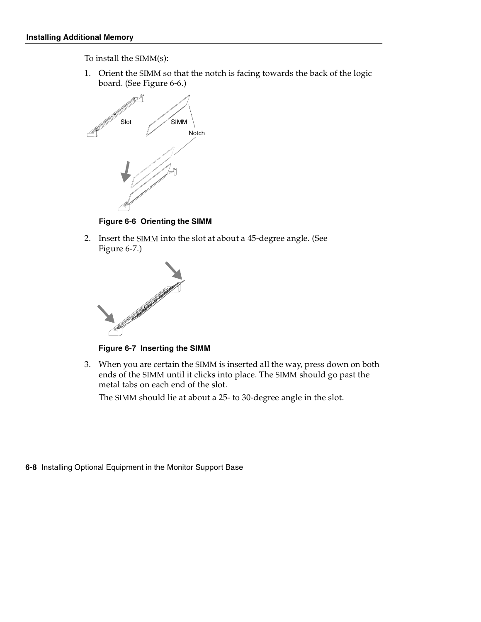To install the SIMM(s):

1. Orient the SIMM so that the notch is facing towards the back of the logic board. (See [Figure 6-6.](#page-47-0))



<span id="page-47-0"></span>**Figure 6-6 Orienting the SIMM** 

2. Insert the SIMM into the slot at about a 45-degree angle. (See [Figure 6-7](#page-47-1).)



**Figure 6-7 Inserting the SIMM**

<span id="page-47-1"></span>3. When you are certain the SIMM is inserted all the way, press down on both ends of the SIMM until it clicks into place. The SIMM should go past the metal tabs on each end of the slot.

The SIMM should lie at about a 25- to 30-degree angle in the slot.

**6-8** Installing Optional Equipment in the Monitor Support Base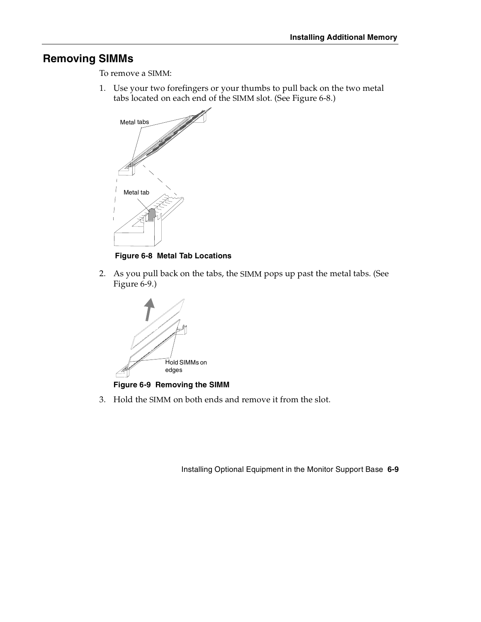# <span id="page-48-0"></span>**Removing SIMMs**

To remove a SIMM:

1. Use your two forefingers or your thumbs to pull back on the two metal tabs located on each end of the SIMM slot. (See [Figure 6-8.](#page-48-1))



<span id="page-48-1"></span>**Figure 6-8 Metal Tab Locations**

2. As you pull back on the tabs, the SIMM pops up past the metal tabs. (See [Figure 6-9](#page-48-2).)



<span id="page-48-2"></span>**Figure 6-9 Removing the SIMM**

3. Hold the SIMM on both ends and remove it from the slot.

Installing Optional Equipment in the Monitor Support Base **6-9**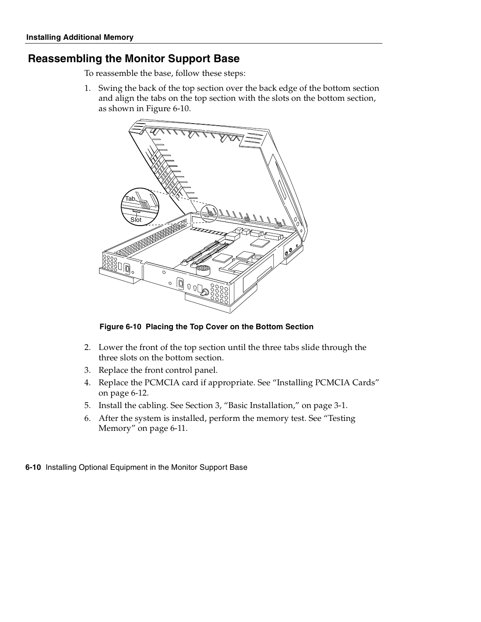# <span id="page-49-0"></span>**Reassembling the Monitor Support Base**

To reassemble the base, follow these steps:

1. Swing the back of the top section over the back edge of the bottom section and align the tabs on the top section with the slots on the bottom section, as shown in [Figure 6-10.](#page-49-1)



#### <span id="page-49-1"></span>**Figure 6-10 Placing the Top Cover on the Bottom Section**

- 2. Lower the front of the top section until the three tabs slide through the three slots on the bottom section.
- 3. Replace the front control panel.
- 4. Replace the PCMCIA card if appropriate. See ["Installing PCMCIA Cards"](#page-51-0) [on page 6-12.](#page-51-0)
- 5. Install the cabling. See [Section 3, "Basic Installation," on page 3-1](#page-14-1).
- 6. After the system is installed, perform the memory test. See ["Testing](#page-50-0)  [Memory" on page 6-11](#page-50-0).

**6-10** Installing Optional Equipment in the Monitor Support Base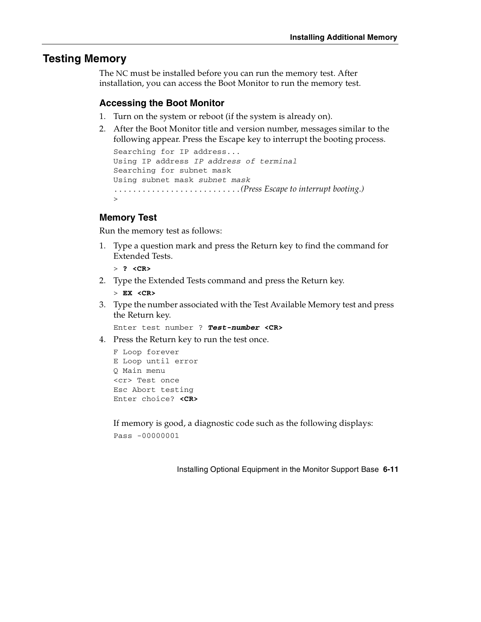# <span id="page-50-0"></span>**Testing Memory**

The NC must be installed before you can run the memory test. After installation, you can access the Boot Monitor to run the memory test.

#### **Accessing the Boot Monitor**

- 1. Turn on the system or reboot (if the system is already on).
- 2. After the Boot Monitor title and version number, messages similar to the following appear. Press the Escape key to interrupt the booting process.

```
Searching for IP address...
Using IP address IP address of terminal
Searching for subnet mask
Using subnet mask subnet mask
...........................(Press Escape to interrupt booting.)
\ddot{\phantom{1}}
```
## **Memory Test**

Run the memory test as follows:

1. Type a question mark and press the Return key to find the command for Extended Tests.

> **? <CR>**

2. Type the Extended Tests command and press the Return key.

```
> EX <CR>
```
3. Type the number associated with the Test Available Memory test and press the Return key.

Enter test number ? **Test-number <CR>**

4. Press the Return key to run the test once.

```
F Loop forever
E Loop until error
Q Main menu
<cr> Test once
Esc Abort testing
Enter choice? <CR>
```
If memory is good, a diagnostic code such as the following displays: Pass -00000001

Installing Optional Equipment in the Monitor Support Base **6-11**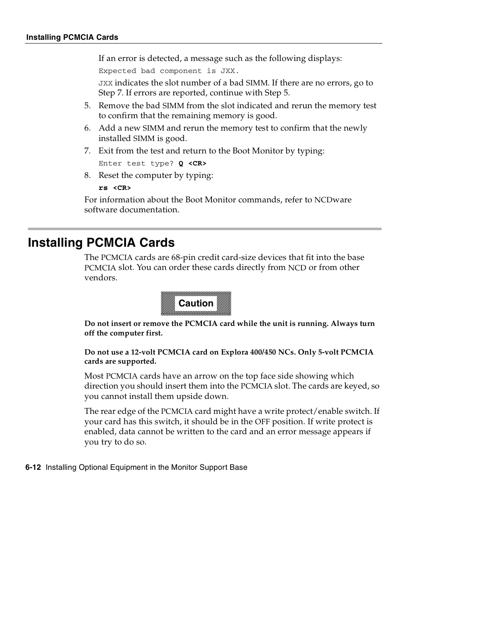If an error is detected, a message such as the following displays:

Expected bad component is JXX.

JXX indicates the slot number of a bad SIMM. If there are no errors, go to [Step 7.](#page-51-1) If errors are reported, continue with [Step 5.](#page-51-2)

- <span id="page-51-2"></span>5. Remove the bad SIMM from the slot indicated and rerun the memory test to confirm that the remaining memory is good.
- 6. Add a new SIMM and rerun the memory test to confirm that the newly installed SIMM is good.
- <span id="page-51-1"></span>7. Exit from the test and return to the Boot Monitor by typing:

Enter test type? **Q <CR>**

8. Reset the computer by typing:

**rs <CR>**

For information about the Boot Monitor commands, refer to NCDware software documentation.

# <span id="page-51-0"></span>**Installing PCMCIA Cards**

The PCMCIA cards are 68-pin credit card-size devices that fit into the base PCMCIA slot. You can order these cards directly from NCD or from other vendors.



**Do not insert or remove the PCMCIA card while the unit is running. Always turn off the computer first.** 

**Do not use a 12-volt PCMCIA card on Explora 400/450 NCs. Only 5-volt PCMCIA cards are supported.**

Most PCMCIA cards have an arrow on the top face side showing which direction you should insert them into the PCMCIA slot. The cards are keyed, so you cannot install them upside down.

The rear edge of the PCMCIA card might have a write protect/enable switch. If your card has this switch, it should be in the OFF position. If write protect is enabled, data cannot be written to the card and an error message appears if you try to do so.

**6-12** Installing Optional Equipment in the Monitor Support Base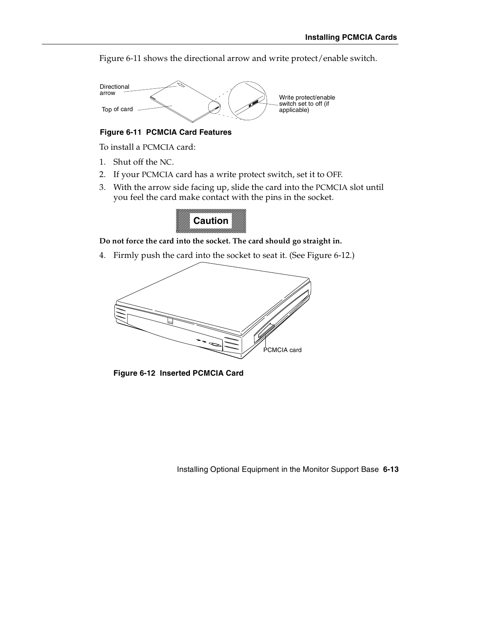[Figure 6-11](#page-52-0) shows the directional arrow and write protect/enable switch.



#### <span id="page-52-0"></span>**Figure 6-11 PCMCIA Card Features**

To install a PCMCIA card:

- 1. Shut off the NC.
- 2. If your PCMCIA card has a write protect switch, set it to OFF.
- 3. With the arrow side facing up, slide the card into the PCMCIA slot until you feel the card make contact with the pins in the socket.



## **Do not force the card into the socket. The card should go straight in.**

4. Firmly push the card into the socket to seat it. (See [Figure 6-12](#page-52-1).)



<span id="page-52-1"></span>**Figure 6-12 Inserted PCMCIA Card**

Installing Optional Equipment in the Monitor Support Base **6-13**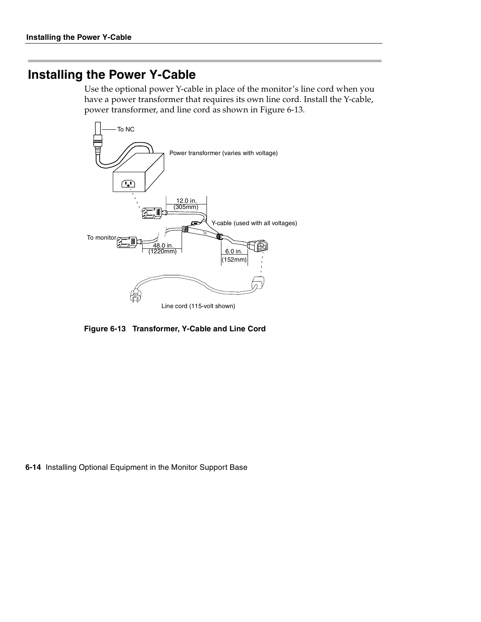# <span id="page-53-0"></span>**Installing the Power Y-Cable**

Use the optional power Y-cable in place of the monitor's line cord when you have a power transformer that requires its own line cord. Install the Y-cable, power transformer, and line cord as shown in [Figure 6-13.](#page-53-1)



<span id="page-53-1"></span>**Figure 6-13 Transformer, Y-Cable and Line Cord**

**6-14** Installing Optional Equipment in the Monitor Support Base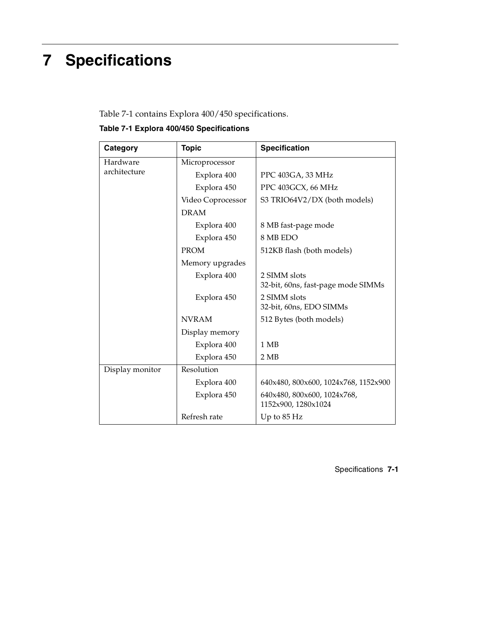# <span id="page-54-0"></span>**7 Specifications**

[Table 7-1](#page-54-1) contains Explora 400/450 specifications.

<span id="page-54-1"></span>

| Category        | <b>Topic</b>      | <b>Specification</b>                               |
|-----------------|-------------------|----------------------------------------------------|
| Hardware        | Microprocessor    |                                                    |
| architecture    | Explora 400       | PPC 403GA, 33 MHz                                  |
|                 | Explora 450       | PPC 403GCX, 66 MHz                                 |
|                 | Video Coprocessor | S3 TRIO64V2/DX (both models)                       |
|                 | <b>DRAM</b>       |                                                    |
|                 | Explora 400       | 8 MB fast-page mode                                |
|                 | Explora 450       | 8 MB EDO                                           |
|                 | <b>PROM</b>       | 512KB flash (both models)                          |
|                 | Memory upgrades   |                                                    |
|                 | Explora 400       | 2 SIMM slots<br>32-bit, 60ns, fast-page mode SIMMs |
|                 | Explora 450       | 2 SIMM slots<br>32-bit, 60ns, EDO SIMMs            |
|                 | <b>NVRAM</b>      | 512 Bytes (both models)                            |
|                 | Display memory    |                                                    |
|                 | Explora 400       | 1 MB                                               |
|                 | Explora 450       | 2 MB                                               |
| Display monitor | Resolution        |                                                    |
|                 | Explora 400       | 640x480, 800x600, 1024x768, 1152x900               |
|                 | Explora 450       | 640x480, 800x600, 1024x768,<br>1152x900, 1280x1024 |

Refresh rate  $\vert$  Up to 85 Hz

# **Table 7-1 Explora 400/450 Specifications**

Specifications **7-1**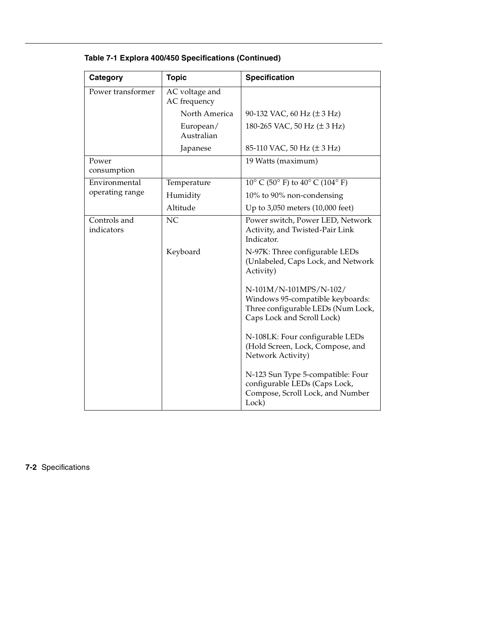| Category                   | <b>Topic</b>                   | <b>Specification</b>                                                                                                           |
|----------------------------|--------------------------------|--------------------------------------------------------------------------------------------------------------------------------|
| Power transformer          | AC voltage and<br>AC frequency |                                                                                                                                |
|                            | North America                  | 90-132 VAC, 60 Hz $(\pm 3$ Hz)                                                                                                 |
|                            | European/<br>Australian        | 180-265 VAC, 50 Hz (± 3 Hz)                                                                                                    |
|                            | Japanese                       | 85-110 VAC, 50 Hz (± 3 Hz)                                                                                                     |
| Power<br>consumption       |                                | 19 Watts (maximum)                                                                                                             |
| Environmental              | Temperature                    | $10^{\circ}$ C (50° F) to 40° C (104° F)                                                                                       |
| operating range            | Humidity                       | 10% to 90% non-condensing                                                                                                      |
|                            | Altitude                       | Up to 3,050 meters (10,000 feet)                                                                                               |
| Controls and<br>indicators | NC                             | Power switch, Power LED, Network<br>Activity, and Twisted-Pair Link<br>Indicator.                                              |
|                            | Keyboard                       | N-97K: Three configurable LEDs<br>(Unlabeled, Caps Lock, and Network<br>Activity)                                              |
|                            |                                | N-101M/N-101MPS/N-102/<br>Windows 95-compatible keyboards:<br>Three configurable LEDs (Num Lock,<br>Caps Lock and Scroll Lock) |
|                            |                                | N-108LK: Four configurable LEDs<br>(Hold Screen, Lock, Compose, and<br>Network Activity)                                       |
|                            |                                | N-123 Sun Type 5-compatible: Four<br>configurable LEDs (Caps Lock,<br>Compose, Scroll Lock, and Number<br>Lock)                |

# **Table 7-1 Explora 400/450 Specifications (Continued)**

**7-2** Specifications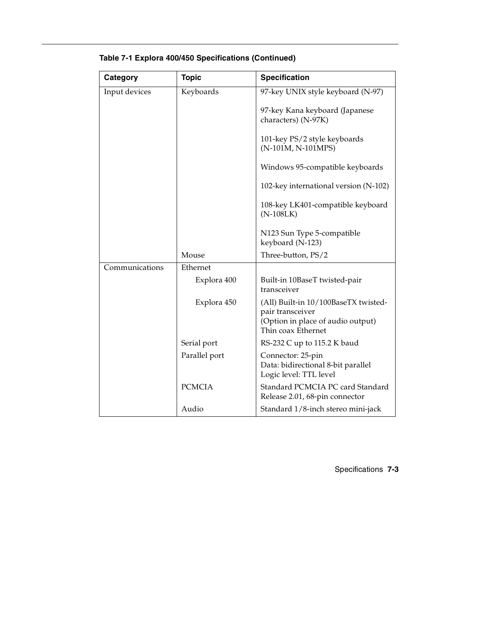| Category       | <b>Topic</b>  | <b>Specification</b>                                                                                                |
|----------------|---------------|---------------------------------------------------------------------------------------------------------------------|
| Input devices  | Keyboards     | 97-key UNIX style keyboard (N-97)                                                                                   |
|                |               | 97-key Kana keyboard (Japanese<br>characters) (N-97K)                                                               |
|                |               | 101-key PS/2 style keyboards<br>(N-101M, N-101MPS)                                                                  |
|                |               | Windows 95-compatible keyboards                                                                                     |
|                |               | 102-key international version (N-102)                                                                               |
|                |               | 108-key LK401-compatible keyboard<br>$(N-108LK)$                                                                    |
|                |               | N123 Sun Type 5-compatible<br>keyboard (N-123)                                                                      |
|                | Mouse         | Three-button, PS/2                                                                                                  |
| Communications | Ethernet      |                                                                                                                     |
|                | Explora 400   | Built-in 10BaseT twisted-pair<br>transceiver                                                                        |
|                | Explora 450   | (All) Built-in 10/100BaseTX twisted-<br>pair transceiver<br>(Option in place of audio output)<br>Thin coax Ethernet |
|                | Serial port   | RS-232 C up to 115.2 K baud                                                                                         |
|                | Parallel port | Connector: 25-pin<br>Data: bidirectional 8-bit parallel<br>Logic level: TTL level                                   |
|                | <b>PCMCIA</b> | Standard PCMCIA PC card Standard<br>Release 2.01, 68-pin connector                                                  |
|                | Audio         | Standard 1/8-inch stereo mini-jack                                                                                  |

# **Table 7-1 Explora 400/450 Specifications (Continued)**

Specifications **7-3**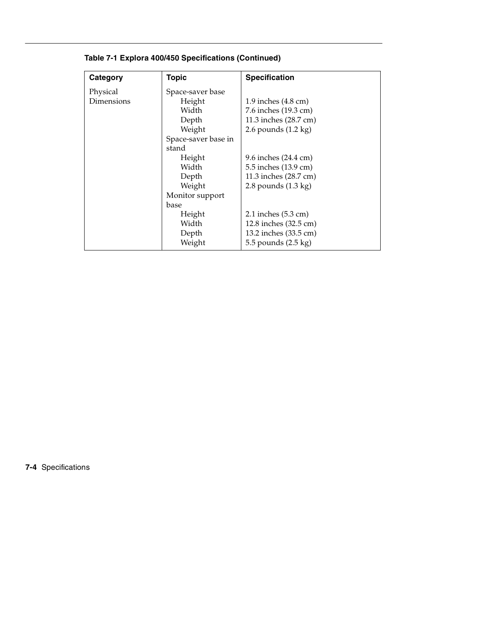| Category   | <b>Topic</b>        | <b>Specification</b>            |
|------------|---------------------|---------------------------------|
| Physical   | Space-saver base    |                                 |
| Dimensions | Height              | 1.9 inches $(4.8 \text{ cm})$   |
|            | Width               | 7.6 inches (19.3 cm)            |
|            | Depth               | 11.3 inches (28.7 cm)           |
|            | Weight              | 2.6 pounds $(1.2 \text{ kg})$   |
|            | Space-saver base in |                                 |
|            | stand               |                                 |
|            | Height              | 9.6 inches (24.4 cm)            |
|            | Width               | 5.5 inches (13.9 cm)            |
|            | Depth               | 11.3 inches (28.7 cm)           |
|            | Weight              | $2.8$ pounds $(1.3 \text{ kg})$ |
|            | Monitor support     |                                 |
|            | base                |                                 |
|            | Height              | $2.1$ inches $(5.3 \text{ cm})$ |
|            | Width               | 12.8 inches (32.5 cm)           |
|            | Depth               | 13.2 inches (33.5 cm)           |
|            | Weight              | 5.5 pounds (2.5 kg)             |

# **Table 7-1 Explora 400/450 Specifications (Continued)**

**7-4** Specifications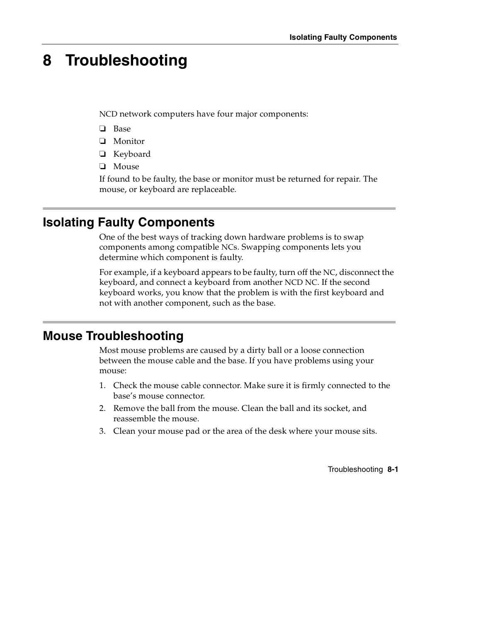# <span id="page-58-0"></span>**8 Troubleshooting**

NCD network computers have four major components:

❏ Base

- ❏ Monitor
- ❏ Keyboard
- ❏ Mouse

If found to be faulty, the base or monitor must be returned for repair. The mouse, or keyboard are replaceable.

# <span id="page-58-1"></span>**Isolating Faulty Components**

One of the best ways of tracking down hardware problems is to swap components among compatible NCs. Swapping components lets you determine which component is faulty.

For example, if a keyboard appears to be faulty, turn off the NC, disconnect the keyboard, and connect a keyboard from another NCD NC. If the second keyboard works, you know that the problem is with the first keyboard and not with another component, such as the base.

# <span id="page-58-2"></span>**Mouse Troubleshooting**

Most mouse problems are caused by a dirty ball or a loose connection between the mouse cable and the base. If you have problems using your mouse:

- 1. Check the mouse cable connector. Make sure it is firmly connected to the base's mouse connector.
- 2. Remove the ball from the mouse. Clean the ball and its socket, and reassemble the mouse.
- 3. Clean your mouse pad or the area of the desk where your mouse sits.

Troubleshooting **8-1**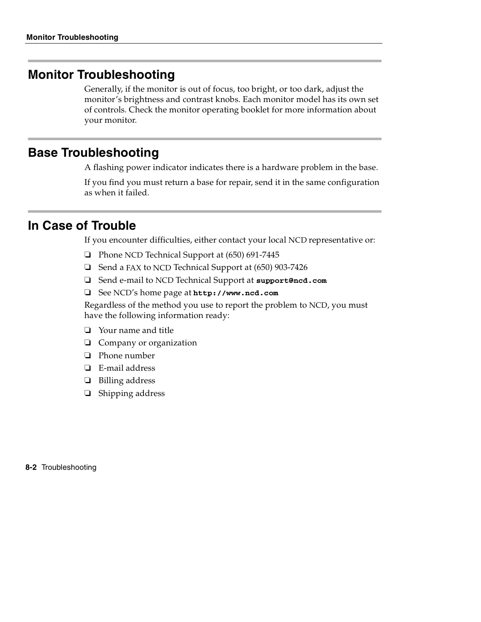# <span id="page-59-0"></span>**Monitor Troubleshooting**

Generally, if the monitor is out of focus, too bright, or too dark, adjust the monitor's brightness and contrast knobs. Each monitor model has its own set of controls. Check the monitor operating booklet for more information about your monitor.

# <span id="page-59-1"></span>**Base Troubleshooting**

A flashing power indicator indicates there is a hardware problem in the base.

If you find you must return a base for repair, send it in the same configuration as when it failed.

# <span id="page-59-2"></span>**In Case of Trouble**

If you encounter difficulties, either contact your local NCD representative or:

- ❏ Phone NCD Technical Support at (650) 691-7445
- ❏ Send a FAX to NCD Technical Support at (650) 903-7426
- ❏ Send e-mail to NCD Technical Support at **support@ncd.com**
- ❏ See NCD's home page at **http://www.ncd.com**

Regardless of the method you use to report the problem to NCD, you must have the following information ready:

- ❏ Your name and title
- ❏ Company or organization
- ❏ Phone number
- ❏ E-mail address
- ❏ Billing address
- ❏ Shipping address

**8-2** Troubleshooting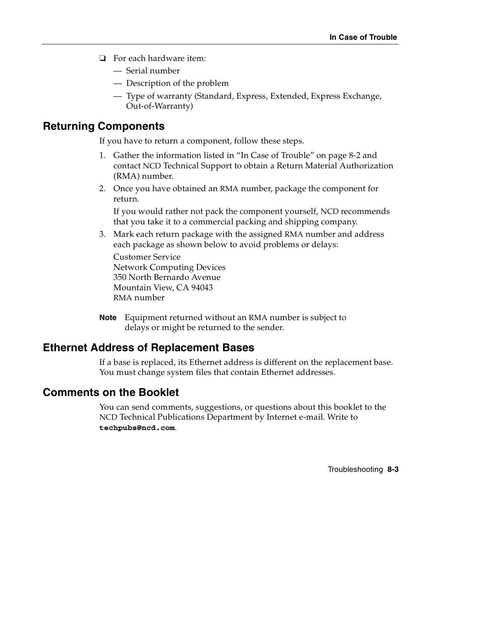- ❏ For each hardware item:
	- Serial number
	- Description of the problem
	- Type of warranty (Standard, Express, Extended, Express Exchange, Out-of-Warranty)

# <span id="page-60-0"></span>**Returning Components**

If you have to return a component, follow these steps.

- 1. Gather the information listed in ["In Case of Trouble" on page 8-2](#page-59-2) and contact NCD Technical Support to obtain a Return Material Authorization (RMA) number.
- 2. Once you have obtained an RMA number, package the component for return.

If you would rather not pack the component yourself, NCD recommends that you take it to a commercial packing and shipping company.

3. Mark each return package with the assigned RMA number and address each package as shown below to avoid problems or delays:

Customer Service Network Computing Devices 350 North Bernardo Avenue Mountain View, CA 94043 RMA number

**Note** Equipment returned without an RMA number is subject to delays or might be returned to the sender.

## <span id="page-60-1"></span>**Ethernet Address of Replacement Bases**

If a base is replaced, its Ethernet address is different on the replacement base. You must change system files that contain Ethernet addresses.

## <span id="page-60-2"></span>**Comments on the Booklet**

You can send comments, suggestions, or questions about this booklet to the NCD Technical Publications Department by Internet e-mail. Write to **techpubs@ncd.com**.

Troubleshooting **8-3**